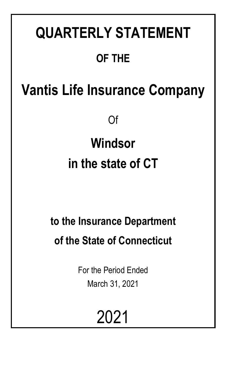# **QUARTERLY STATEMENT OF THE**

## **Vantis Life Insurance Company**

Of

# **Windsor in the state of CT**

## **to the Insurance Department of the State of Connecticut**

For the Period Ended March 31, 2021

# 2021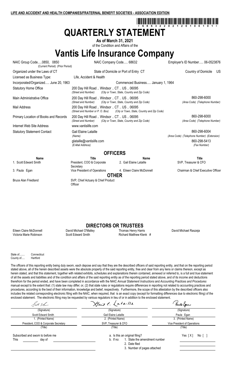## \*68632202120100101\* **QUARTERLY STATEMENT**

**As of March 31, 2021** of the Condition and Affairs of the

**Vantis Life Insurance Company**

NAIC Group Code.....0850, 0850 NAIC Company Code..... 68632 Employer's ID Number..... 06-0523876 (Current Period) (Prior Period) Organized under the Laws of CT State of Domicile or Port of Entry CT Country of Domicile US Licensed as Business Type: Life, Accident & Health Incorporated/Organized..... June 20, 1963 Commenced Business..... January 1, 1964 Statutory Home Office **200 Day Hill Road .. Windsor .. CT .. US .. 06095**<br>(Street and Number) (City or Town, State, Country and . *(City or Town, State, Country and Zip Code)* Main Administrative Office 200 Day Hill Road .. Windsor .. CT .. US .. 06095 *(Street and Number) (City or Town, State, Country and Zip Code) (Area Code) (Telephone Number)* Mail Address 200 Day Hill Road .. Windsor .. CT .. US .. 06095<br>(Street and Number or P. O. Box) (City or Town, State, *(City or Town, State, Country and Zip Code)* Primary Location of Books and Records 200 Day Hill Road .. Windsor .. CT .. US .. 06095 860-208-6000 860-298-6000 *(Street and Number) (City or Town, State, Country and Zip Code) (Area Code) (Telephone Number)* Internet Web Site Address www.vantislife.com Statutory Statement Contact Contact Cail Elaine Lataille **860-298-6004** 860-298-6004 *(Name) (Area Code) (Telephone Number) (Extension)* glataille@vantislife.com 860-298-5413<br>(E-Mail Address) (E-Mail Address) (Fax Number)  $(E$ -Mail Address) **OFFICERS Name Title Name Title** 1. Scott Edward Smith President, COO & Corporate **Secretary** 2. Gail Elaine Lataille SVP, Treasurer & CFO 3. Paula Egan **South Accords** Vice President of Operations 4. Eileen Claire McDonnell Chairman & Chief Executive Officer **OTHER**

**DIRECTORS OR TRUSTEES**<br>David Michael O'Malley **Thomas Henry Harris** 

Eileen Claire McDonnell David Michael O'Malley Thomas Henry Harris David Michael Raszeja Victoria Marie Robinson **Scott Edward Smith Richard Matthew Klenk** #

Bruce Alan Friedland SVP, Chief Actuary & Chief Product

**Officer** 

State of........ Connecticut County of.....

The officers of this reporting entity being duly sworn, each depose and say that they are the described officers of said reporting entity, and that on the reporting period stated above, all of the herein described assets were the absolute property of the said reporting entity, free and clear from any liens or claims thereon, except as herein stated, and that this statement, together with related exhibits, schedules and explanations therein contained, annexed or referred to, is a full and true statement of all the assets and liabilities and of the condition and affairs of the said reporting entity as of the reporting period stated above, and of its income and deductions therefrom for the period ended, and have been completed in accordance with the NAIC *Annual Statement Instructions* and *Accounting Practices and Procedures* manual except to the extent that: (1) state law may differ; or, (2) that state rules or regulations require differences in reporting not related to accounting practices and procedures, according to the best of their information, knowledge and belief, respectively. Furthermore, the scope of this attestation by the described officers also includes the related corresponding electronic filing with the NAIC, when required, that is an exact copy (except for formatting differences due to electronic filing) of the enclosed statement. The electronic filing may be requested by various regulators in lieu of or in addition to the enclosed statement.

| Poot Ehm                                            | Hais & Lataille                                                              | Yaule Egan                   |
|-----------------------------------------------------|------------------------------------------------------------------------------|------------------------------|
| (Signature)                                         | (Signature)                                                                  | (Signature)                  |
| Scott Edward Smith                                  | Gail Elaine Lataille                                                         | Paula Egan                   |
| 1. (Printed Name)                                   | 2. (Printed Name)                                                            | 3. (Printed Name)            |
| President, COO & Corporate Secretary                | SVP, Treasurer & CFO                                                         | Vice President of Operations |
| (Title)                                             | (Title)                                                                      | (Title)                      |
| Subscribed and sworn to before me<br>This<br>day of | a. Is this an original filing?<br>1. State the amendment number<br>b. If no: | Yes [X]<br>No [              |
|                                                     | 2. Date filed<br>3. Number of pages attached                                 |                              |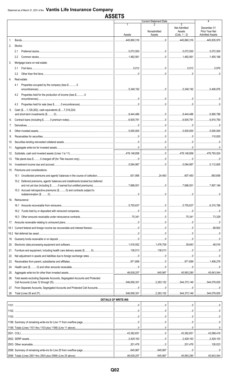## **ASSETS**

|                |                                                                                                                        |                             | <b>Current Statement Date</b> |                                                       |                                                         |
|----------------|------------------------------------------------------------------------------------------------------------------------|-----------------------------|-------------------------------|-------------------------------------------------------|---------------------------------------------------------|
|                |                                                                                                                        | Assets                      | 2<br>Nonadmitted<br>Assets    | 3<br><b>Net Admitted</b><br>Assets<br>$(Cols. 1 - 2)$ | December 31<br>Prior Year Net<br><b>Admitted Assets</b> |
| 1 <sup>1</sup> |                                                                                                                        |                             |                               |                                                       | 445,835,970                                             |
| 2.             | Stocks:                                                                                                                |                             |                               |                                                       |                                                         |
|                | 2.1                                                                                                                    |                             |                               |                                                       |                                                         |
|                | 2.2                                                                                                                    | 1,482,561                   |                               |                                                       |                                                         |
| 3.             | Mortgage loans on real estate:                                                                                         |                             |                               |                                                       |                                                         |
|                | 3.1                                                                                                                    |                             |                               |                                                       | 5,976                                                   |
|                | 3.2                                                                                                                    |                             |                               |                                                       |                                                         |
| 4.             | Real estate:                                                                                                           |                             |                               |                                                       |                                                         |
|                | Properties occupied by the company (less \$0<br>4.1                                                                    |                             |                               |                                                       |                                                         |
|                | Properties held for the production of income (less \$0<br>4.2<br>$encumbrances) \hspace{1cm} 0 \hspace{1cm} \nonumber$ |                             |                               |                                                       |                                                         |
|                | 4.3                                                                                                                    |                             |                               |                                                       |                                                         |
| 5.             | Cash (\$1,126,262), cash equivalents (\$7,318,224)                                                                     |                             |                               |                                                       |                                                         |
| 6.             |                                                                                                                        |                             |                               |                                                       |                                                         |
| 7.             |                                                                                                                        |                             |                               |                                                       |                                                         |
| 8.             |                                                                                                                        |                             |                               |                                                       |                                                         |
| 9.             |                                                                                                                        |                             |                               |                                                       |                                                         |
| 10.            |                                                                                                                        |                             |                               |                                                       |                                                         |
| 11.            |                                                                                                                        |                             |                               |                                                       |                                                         |
| 12.            |                                                                                                                        |                             |                               |                                                       |                                                         |
| 13.            |                                                                                                                        | 1.1.1.1.1.1.0.5.094.987     |                               |                                                       | 5,112,605                                               |
| 14.            | 15. Premiums and considerations:                                                                                       |                             |                               |                                                       |                                                         |
|                | 15.1 Uncollected premiums and agents' balances in the course of collection                                             |                             |                               |                                                       |                                                         |
|                | 15.2 Deferred premiums, agents' balances and installments booked but deferred                                          |                             |                               |                                                       |                                                         |
|                |                                                                                                                        |                             |                               |                                                       |                                                         |
|                | 15.3 Accrued retrospective premiums (\$0) and contracts subject to                                                     |                             |                               |                                                       |                                                         |
|                | 16. Reinsurance:                                                                                                       |                             |                               |                                                       |                                                         |
|                |                                                                                                                        | $1$ 5,755,637               |                               |                                                       | 6,310,786                                               |
|                |                                                                                                                        |                             |                               |                                                       |                                                         |
|                |                                                                                                                        |                             |                               |                                                       |                                                         |
|                |                                                                                                                        |                             |                               |                                                       |                                                         |
| 18.1           |                                                                                                                        |                             |                               |                                                       |                                                         |
|                |                                                                                                                        |                             |                               |                                                       |                                                         |
|                |                                                                                                                        |                             |                               |                                                       |                                                         |
| 20.            |                                                                                                                        |                             |                               |                                                       |                                                         |
| 21.<br>22.     |                                                                                                                        |                             |                               |                                                       |                                                         |
| 23.            |                                                                                                                        |                             |                               |                                                       |                                                         |
| 24.            |                                                                                                                        |                             |                               |                                                       |                                                         |
| 25.            |                                                                                                                        |                             |                               |                                                       |                                                         |
| 26.            | Total assets excluding Separate Accounts, Segregated Accounts and Protected                                            |                             |                               |                                                       |                                                         |
| 27.            |                                                                                                                        |                             |                               |                                                       |                                                         |
| 28.            |                                                                                                                        |                             |                               | 2.283.152   544.373.149   544.079.835                 |                                                         |
|                |                                                                                                                        | <b>DETAILS OF WRITE-INS</b> |                               |                                                       |                                                         |
|                |                                                                                                                        |                             |                               |                                                       |                                                         |
|                |                                                                                                                        |                             |                               |                                                       |                                                         |
|                |                                                                                                                        |                             |                               |                                                       |                                                         |
|                |                                                                                                                        |                             |                               |                                                       |                                                         |
|                |                                                                                                                        |                             |                               |                                                       |                                                         |
|                |                                                                                                                        |                             |                               |                                                       |                                                         |
|                |                                                                                                                        | 1.11                        |                               |                                                       | 2,429,103                                               |
|                |                                                                                                                        | 201,476                     |                               |                                                       |                                                         |
|                |                                                                                                                        |                             | 645,967                       |                                                       |                                                         |
|                | 2599. Totals (Lines 2501 thru 2503 plus 2598) (Line 25 above)                                                          | .46.639,257                 | 645.967                       | 45,993,290                                            | 45,643,544                                              |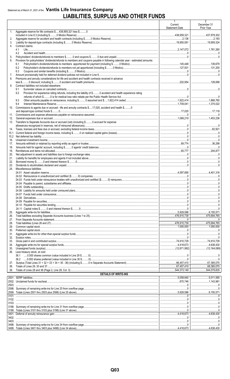## Statement as of March 31, 2021 of the Vantis Life Insurance Company **LIABILITIES, SURPLUS AND OTHER FUNDS**

|             |                                                                                                                               | $\mathbf{1}$<br>Current<br><b>Statement Date</b> | $\overline{2}$<br>December 31<br>Prior Year |
|-------------|-------------------------------------------------------------------------------------------------------------------------------|--------------------------------------------------|---------------------------------------------|
| 1.          | Aggregate reserve for life contracts \$438,959,321 less \$0                                                                   |                                                  | 437,978,302                                 |
| 2.          |                                                                                                                               |                                                  |                                             |
| 3.<br>4.    | Contract claims:                                                                                                              |                                                  | 19,959.324                                  |
|             | 4.1                                                                                                                           |                                                  |                                             |
| 5.          | 4.2                                                                                                                           |                                                  |                                             |
| 6.          | Provision for policyholders' dividends/refunds to members and coupons payable in following calendar year - estimated amounts: |                                                  |                                             |
|             | 6.1                                                                                                                           |                                                  |                                             |
|             | 6.2<br>6.3                                                                                                                    |                                                  |                                             |
| 7.          |                                                                                                                               |                                                  |                                             |
| 8.          | Premiums and annuity considerations for life and accident and health contracts received in advance                            |                                                  |                                             |
| 9.          | Contract liabilities not included elsewhere:                                                                                  |                                                  |                                             |
|             | 9.1<br>Provision for experience rating refunds, including the liability of \$ 0 accident and health experience rating<br>9.2  |                                                  |                                             |
|             |                                                                                                                               |                                                  |                                             |
|             | 9.3<br>9.4                                                                                                                    |                                                  |                                             |
| 10.         | Commissions to agents due or accrued - life and annuity contracts \$17,020, accident and health \$0                           |                                                  |                                             |
|             |                                                                                                                               |                                                  |                                             |
| 11.<br>12.  |                                                                                                                               |                                                  |                                             |
| 13.         | Transfers to Separate Accounts due or accrued (net) (including \$0 accrued for expense                                        |                                                  |                                             |
| 14.         |                                                                                                                               |                                                  |                                             |
| 15.1        |                                                                                                                               |                                                  |                                             |
| 15.2<br>16. |                                                                                                                               |                                                  |                                             |
| 17.         |                                                                                                                               |                                                  |                                             |
| 18.         |                                                                                                                               |                                                  |                                             |
| 19.<br>20.  |                                                                                                                               |                                                  |                                             |
| 21.         |                                                                                                                               |                                                  |                                             |
| 22.<br>23.  |                                                                                                                               |                                                  |                                             |
| 24.         | Miscellaneous liabilities:                                                                                                    |                                                  |                                             |
|             |                                                                                                                               |                                                  |                                             |
|             |                                                                                                                               |                                                  |                                             |
|             |                                                                                                                               |                                                  |                                             |
|             |                                                                                                                               | 0                                                | $\Omega$ .                                  |
|             |                                                                                                                               |                                                  |                                             |
|             |                                                                                                                               |                                                  |                                             |
|             |                                                                                                                               |                                                  |                                             |
| 25.         |                                                                                                                               |                                                  |                                             |
| 26.         |                                                                                                                               |                                                  |                                             |
| 27.<br>28.  |                                                                                                                               |                                                  | $\overline{475,694,765}$                    |
| 29.         |                                                                                                                               |                                                  |                                             |
| 30.         |                                                                                                                               |                                                  |                                             |
| 31.<br>32.  |                                                                                                                               |                                                  |                                             |
| 33.         |                                                                                                                               |                                                  |                                             |
| 34.<br>35.  |                                                                                                                               |                                                  |                                             |
| 36.         | Less treasury stock, at cost:                                                                                                 |                                                  |                                             |
|             |                                                                                                                               |                                                  |                                             |
| 37.         |                                                                                                                               |                                                  |                                             |
| 38.<br>39.  |                                                                                                                               |                                                  |                                             |
|             | <b>DETAILS OF WRITE-INS</b>                                                                                                   |                                                  |                                             |
|             |                                                                                                                               | 5,058,840                                        | 5,011,590                                   |
|             |                                                                                                                               |                                                  |                                             |
|             |                                                                                                                               |                                                  |                                             |
|             |                                                                                                                               |                                                  |                                             |
|             |                                                                                                                               |                                                  |                                             |
|             |                                                                                                                               |                                                  |                                             |
|             |                                                                                                                               |                                                  |                                             |
|             |                                                                                                                               |                                                  |                                             |
|             |                                                                                                                               |                                                  |                                             |
|             |                                                                                                                               |                                                  |                                             |
|             |                                                                                                                               |                                                  |                                             |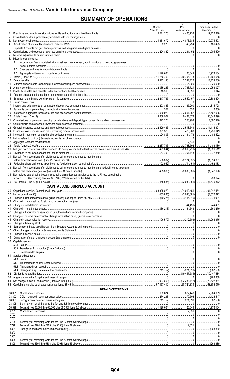## **SUMMARY OF OPERATIONS**

|          |                                                                                                                | -1.<br>Current<br>Year to Date       | 2<br>Prior<br>Year to Date                                                                                                                                                                                                                                                                                                                                               | 3.<br>Prior Year Ended<br>December 31 |
|----------|----------------------------------------------------------------------------------------------------------------|--------------------------------------|--------------------------------------------------------------------------------------------------------------------------------------------------------------------------------------------------------------------------------------------------------------------------------------------------------------------------------------------------------------------------|---------------------------------------|
|          |                                                                                                                |                                      | 1,4,425,738                                                                                                                                                                                                                                                                                                                                                              |                                       |
| 2.       |                                                                                                                |                                      |                                                                                                                                                                                                                                                                                                                                                                          |                                       |
| 3.       |                                                                                                                | 1.1.1.1.1.4.831.672                  | 4,873,585 19,974,593                                                                                                                                                                                                                                                                                                                                                     |                                       |
| 4.<br>5. |                                                                                                                |                                      | 45,254   181,493<br>$\begin{array}{l} \rule{0.2cm}{0.15mm} \rule{0.2cm}{0.15mm} \rule{0.2cm}{0.15mm} \rule{0.2cm}{0.15mm} \rule{0.2cm}{0.15mm} \rule{0.2cm}{0.15mm} \rule{0.2cm}{0.15mm} \rule{0.2cm}{0.15mm} \rule{0.2cm}{0.15mm} \rule{0.2cm}{0.15mm} \rule{0.2cm}{0.15mm} \rule{0.2cm}{0.15mm} \rule{0.2cm}{0.15mm} \rule{0.2cm}{0.15mm} \rule{0.2cm}{0.15mm} \rule{$ |                                       |
|          |                                                                                                                |                                      |                                                                                                                                                                                                                                                                                                                                                                          |                                       |
| 7.       |                                                                                                                |                                      |                                                                                                                                                                                                                                                                                                                                                                          |                                       |
|          | 8. Miscellaneous Income:                                                                                       |                                      |                                                                                                                                                                                                                                                                                                                                                                          |                                       |
|          | 8.1 Income from fees associated with investment management, administration and contract guarantees             | 0                                    |                                                                                                                                                                                                                                                                                                                                                                          |                                       |
|          |                                                                                                                |                                      |                                                                                                                                                                                                                                                                                                                                                                          |                                       |
|          |                                                                                                                | 1,126,664                            |                                                                                                                                                                                                                                                                                                                                                                          |                                       |
| 9.       |                                                                                                                |                                      |                                                                                                                                                                                                                                                                                                                                                                          |                                       |
|          |                                                                                                                |                                      |                                                                                                                                                                                                                                                                                                                                                                          |                                       |
|          |                                                                                                                |                                      | $\ldots$ 5,000<br>1.1783,721                                                                                                                                                                                                                                                                                                                                             | 4,053,027                             |
|          |                                                                                                                |                                      |                                                                                                                                                                                                                                                                                                                                                                          |                                       |
|          |                                                                                                                |                                      |                                                                                                                                                                                                                                                                                                                                                                          |                                       |
|          |                                                                                                                |                                      | $\ldots$ 2.550.457                                                                                                                                                                                                                                                                                                                                                       | 9,883,604                             |
|          |                                                                                                                |                                      | $\begin{array}{l} \rule{0.2cm}{0.15mm} \rule{0.2cm}{0.15mm} \rule{0.2cm}{0.15mm} \rule{0.2cm}{0.15mm} \rule{0.2cm}{0.15mm} \rule{0.2cm}{0.15mm} \rule{0.2cm}{0.15mm} \rule{0.2cm}{0.15mm} \rule{0.2cm}{0.15mm} \rule{0.2cm}{0.15mm} \rule{0.2cm}{0.15mm} \rule{0.2cm}{0.15mm} \rule{0.2cm}{0.15mm} \rule{0.2cm}{0.15mm} \rule{0.2cm}{0.15mm} \rule{$                     |                                       |
|          |                                                                                                                |                                      |                                                                                                                                                                                                                                                                                                                                                                          | 815,728<br>2,200                      |
|          |                                                                                                                |                                      | $\ldots$ 3,651,267                                                                                                                                                                                                                                                                                                                                                       |                                       |
|          |                                                                                                                |                                      |                                                                                                                                                                                                                                                                                                                                                                          |                                       |
|          |                                                                                                                |                                      | 256,998   1,097,410                                                                                                                                                                                                                                                                                                                                                      |                                       |
|          |                                                                                                                |                                      | 0                                                                                                                                                                                                                                                                                                                                                                        |                                       |
|          |                                                                                                                |                                      | 2,518,649 11,116,301                                                                                                                                                                                                                                                                                                                                                     |                                       |
|          |                                                                                                                |                                      | 1.11                                                                                                                                                                                                                                                                                                                                                                     | 1,236,949                             |
|          |                                                                                                                |                                      |                                                                                                                                                                                                                                                                                                                                                                          |                                       |
|          |                                                                                                                |                                      |                                                                                                                                                                                                                                                                                                                                                                          |                                       |
|          |                                                                                                                | 12,237,796 12,768,592 44,483,180     |                                                                                                                                                                                                                                                                                                                                                                          |                                       |
|          |                                                                                                                |                                      |                                                                                                                                                                                                                                                                                                                                                                          |                                       |
|          |                                                                                                                |                                      |                                                                                                                                                                                                                                                                                                                                                                          |                                       |
|          | 31. Net gain from operations after dividends to policyholders, refunds to members and                          |                                      |                                                                                                                                                                                                                                                                                                                                                                          |                                       |
|          |                                                                                                                |                                      |                                                                                                                                                                                                                                                                                                                                                                          |                                       |
|          | 33. Net gain from operations after dividends to policyholders, refunds to members and federal income taxes and |                                      |                                                                                                                                                                                                                                                                                                                                                                          |                                       |
|          |                                                                                                                |                                      |                                                                                                                                                                                                                                                                                                                                                                          |                                       |
|          | 34. Net realized capital gains (losses) (excluding gains (losses) transferred to the IMR) less capital gains   |                                      |                                                                                                                                                                                                                                                                                                                                                                          |                                       |
|          |                                                                                                                |                                      |                                                                                                                                                                                                                                                                                                                                                                          |                                       |
|          | <b>CAPITAL AND SURPLUS ACCOUNT</b>                                                                             |                                      |                                                                                                                                                                                                                                                                                                                                                                          |                                       |
|          |                                                                                                                |                                      |                                                                                                                                                                                                                                                                                                                                                                          |                                       |
|          |                                                                                                                |                                      |                                                                                                                                                                                                                                                                                                                                                                          |                                       |
|          |                                                                                                                |                                      |                                                                                                                                                                                                                                                                                                                                                                          |                                       |
|          |                                                                                                                |                                      |                                                                                                                                                                                                                                                                                                                                                                          |                                       |
|          |                                                                                                                |                                      |                                                                                                                                                                                                                                                                                                                                                                          |                                       |
|          |                                                                                                                |                                      |                                                                                                                                                                                                                                                                                                                                                                          |                                       |
|          |                                                                                                                |                                      |                                                                                                                                                                                                                                                                                                                                                                          |                                       |
|          |                                                                                                                |                                      |                                                                                                                                                                                                                                                                                                                                                                          |                                       |
|          |                                                                                                                |                                      |                                                                                                                                                                                                                                                                                                                                                                          |                                       |
|          |                                                                                                                |                                      |                                                                                                                                                                                                                                                                                                                                                                          |                                       |
|          |                                                                                                                |                                      | 0                                                                                                                                                                                                                                                                                                                                                                        |                                       |
|          |                                                                                                                |                                      | 0                                                                                                                                                                                                                                                                                                                                                                        |                                       |
|          | 50. Capital changes:                                                                                           |                                      |                                                                                                                                                                                                                                                                                                                                                                          |                                       |
|          |                                                                                                                |                                      |                                                                                                                                                                                                                                                                                                                                                                          |                                       |
|          |                                                                                                                |                                      |                                                                                                                                                                                                                                                                                                                                                                          |                                       |
|          | 51. Surplus adjustment:                                                                                        |                                      |                                                                                                                                                                                                                                                                                                                                                                          |                                       |
|          |                                                                                                                |                                      |                                                                                                                                                                                                                                                                                                                                                                          |                                       |
|          |                                                                                                                |                                      |                                                                                                                                                                                                                                                                                                                                                                          |                                       |
|          |                                                                                                                |                                      | $\begin{array}{l} \rule{0.2cm}{0.15mm} \rule{0.2cm}{0.15mm} \rule{0.2cm}{0.15mm} \rule{0.2cm}{0.15mm} \rule{0.2cm}{0.15mm} \rule{0.2cm}{0.15mm} \rule{0.2cm}{0.15mm} \rule{0.2cm}{0.15mm} \rule{0.2cm}{0.15mm} \rule{0.2cm}{0.15mm} \rule{0.2cm}{0.15mm} \rule{0.2cm}{0.15mm} \rule{0.2cm}{0.15mm} \rule{0.2cm}{0.15mm} \rule{0.2cm}{0.15mm} \rule{$                     |                                       |
|          |                                                                                                                |                                      |                                                                                                                                                                                                                                                                                                                                                                          |                                       |
|          |                                                                                                                |                                      |                                                                                                                                                                                                                                                                                                                                                                          |                                       |
|          |                                                                                                                |                                      |                                                                                                                                                                                                                                                                                                                                                                          |                                       |
|          |                                                                                                                | 67,457,410   68,724,339   68,385,070 |                                                                                                                                                                                                                                                                                                                                                                          |                                       |
|          | DETAILS OF WRITE-INS                                                                                           |                                      |                                                                                                                                                                                                                                                                                                                                                                          |                                       |
|          | 08.301.                                                                                                        |                                      |                                                                                                                                                                                                                                                                                                                                                                          |                                       |
|          | 08.302.                                                                                                        |                                      | 279,506 1,126,547                                                                                                                                                                                                                                                                                                                                                        |                                       |
|          | 08.303.                                                                                                        |                                      |                                                                                                                                                                                                                                                                                                                                                                          |                                       |
|          | 08.398.<br>08.399.                                                                                             |                                      | $\begin{array}{l} \rule{0.2cm}{0.15mm} \rule{0.2cm}{0.15mm} \rule{0.2cm}{0.15mm} \rule{0.2cm}{0.15mm} \rule{0.2cm}{0.15mm} \rule{0.2cm}{0.15mm} \rule{0.2cm}{0.15mm} \rule{0.2cm}{0.15mm} \rule{0.2cm}{0.15mm} \rule{0.2cm}{0.15mm} \rule{0.2cm}{0.15mm} \rule{0.2cm}{0.15mm} \rule{0.2cm}{0.15mm} \rule{0.2cm}{0.15mm} \rule{0.2cm}{0.15mm} \rule{$<br>1,128,844        | 4,978,164                             |
|          | 2701.                                                                                                          |                                      |                                                                                                                                                                                                                                                                                                                                                                          |                                       |
|          | 2702.                                                                                                          |                                      |                                                                                                                                                                                                                                                                                                                                                                          |                                       |
|          | 2703.                                                                                                          |                                      |                                                                                                                                                                                                                                                                                                                                                                          |                                       |
|          | 2798.                                                                                                          |                                      |                                                                                                                                                                                                                                                                                                                                                                          |                                       |
|          | 2799.<br>5301.                                                                                                 |                                      | $\begin{array}{c c c c c c} \hline \rule{0mm}{3mm} & \rule{0mm}{3mm} & \rule{0mm}{3mm} & \rule{0mm}{3mm} \end{array} \hspace{1mm} (263,889)$                                                                                                                                                                                                                             |                                       |
|          | 5302.                                                                                                          |                                      |                                                                                                                                                                                                                                                                                                                                                                          |                                       |
|          | 5303.                                                                                                          |                                      |                                                                                                                                                                                                                                                                                                                                                                          |                                       |
|          | 5398.                                                                                                          |                                      |                                                                                                                                                                                                                                                                                                                                                                          |                                       |
|          | 5399.                                                                                                          |                                      |                                                                                                                                                                                                                                                                                                                                                                          |                                       |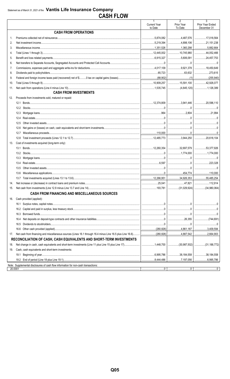## **CASH FLOW**

|                |                                                                                    | $\mathbf{1}$                   | $\overline{2}$                                                                                                                                                                                                                                                                                                                                       | $\overline{3}$                                                                                                                                                                                                                                                                                                                                          |
|----------------|------------------------------------------------------------------------------------|--------------------------------|------------------------------------------------------------------------------------------------------------------------------------------------------------------------------------------------------------------------------------------------------------------------------------------------------------------------------------------------------|---------------------------------------------------------------------------------------------------------------------------------------------------------------------------------------------------------------------------------------------------------------------------------------------------------------------------------------------------------|
|                |                                                                                    | <b>Current Year</b><br>to Date | Prior Year<br>To Date                                                                                                                                                                                                                                                                                                                                | Prior Year Ended<br>December 31                                                                                                                                                                                                                                                                                                                         |
|                | <b>CASH FROM OPERATIONS</b>                                                        |                                |                                                                                                                                                                                                                                                                                                                                                      |                                                                                                                                                                                                                                                                                                                                                         |
| 1              |                                                                                    |                                | 4,487,576                                                                                                                                                                                                                                                                                                                                            | 17,018,564                                                                                                                                                                                                                                                                                                                                              |
| 2.             |                                                                                    |                                | 4,898,106                                                                                                                                                                                                                                                                                                                                            | 21,151,238                                                                                                                                                                                                                                                                                                                                              |
| 3.             |                                                                                    |                                | 1,360,298                                                                                                                                                                                                                                                                                                                                            | 5,882,664                                                                                                                                                                                                                                                                                                                                               |
| $\overline{4}$ |                                                                                    |                                | 10,745,980                                                                                                                                                                                                                                                                                                                                           | 44,052,466                                                                                                                                                                                                                                                                                                                                              |
| 5.             |                                                                                    |                                | $\ldots$ 5,606,091                                                                                                                                                                                                                                                                                                                                   | 24,457,753                                                                                                                                                                                                                                                                                                                                              |
| 6.             |                                                                                    |                                |                                                                                                                                                                                                                                                                                                                                                      | 0                                                                                                                                                                                                                                                                                                                                                       |
| 7.             |                                                                                    |                                | $\vert$ 9,921,378                                                                                                                                                                                                                                                                                                                                    | 18,450,649                                                                                                                                                                                                                                                                                                                                              |
| 8.             |                                                                                    |                                |                                                                                                                                                                                                                                                                                                                                                      | 273,615                                                                                                                                                                                                                                                                                                                                                 |
| 9.             |                                                                                    |                                |                                                                                                                                                                                                                                                                                                                                                      |                                                                                                                                                                                                                                                                                                                                                         |
| 10.            |                                                                                    |                                | 15,591,100 42,926,077                                                                                                                                                                                                                                                                                                                                |                                                                                                                                                                                                                                                                                                                                                         |
| 11.            |                                                                                    |                                |                                                                                                                                                                                                                                                                                                                                                      |                                                                                                                                                                                                                                                                                                                                                         |
|                | <b>CASH FROM INVESTMENTS</b>                                                       |                                |                                                                                                                                                                                                                                                                                                                                                      |                                                                                                                                                                                                                                                                                                                                                         |
| 12.            | Proceeds from investments sold, matured or repaid:                                 |                                |                                                                                                                                                                                                                                                                                                                                                      |                                                                                                                                                                                                                                                                                                                                                         |
|                | 12.1                                                                               |                                |                                                                                                                                                                                                                                                                                                                                                      |                                                                                                                                                                                                                                                                                                                                                         |
|                |                                                                                    |                                | $\begin{array}{l} \rule{0.2cm}{0.15mm} \ldots \end{array}$                                                                                                                                                                                                                                                                                           |                                                                                                                                                                                                                                                                                                                                                         |
|                |                                                                                    |                                |                                                                                                                                                                                                                                                                                                                                                      | 21,994                                                                                                                                                                                                                                                                                                                                                  |
|                |                                                                                    |                                |                                                                                                                                                                                                                                                                                                                                                      |                                                                                                                                                                                                                                                                                                                                                         |
|                | 12.5                                                                               |                                |                                                                                                                                                                                                                                                                                                                                                      |                                                                                                                                                                                                                                                                                                                                                         |
|                |                                                                                    |                                |                                                                                                                                                                                                                                                                                                                                                      | 0                                                                                                                                                                                                                                                                                                                                                       |
|                |                                                                                    |                                |                                                                                                                                                                                                                                                                                                                                                      | $\begin{array}{l} \rule{0.2cm}{0.15mm} \ldots \end{array} \begin{array}{l} \rule{0.2cm}{0.15mm} \ldots \end{array} \begin{array}{l} \rule{0.2cm}{0.15mm} \ldots \end{array} \begin{array}{l} \rule{0.2cm}{0.15mm} \ldots \end{array} \begin{array}{l} \rule{0.2cm}{0.15mm} \ldots \end{array} \begin{array}{l} \rule{0.2cm}{0.15mm} \ldots \end{array}$ |
|                |                                                                                    |                                | $\vert$ 3,944,250                                                                                                                                                                                                                                                                                                                                    | 20,618,104                                                                                                                                                                                                                                                                                                                                              |
| 13.            | Cost of investments acquired (long-term only):                                     |                                |                                                                                                                                                                                                                                                                                                                                                      |                                                                                                                                                                                                                                                                                                                                                         |
|                | 13.1                                                                               |                                |                                                                                                                                                                                                                                                                                                                                                      | $\ldots$ 53,377,926                                                                                                                                                                                                                                                                                                                                     |
|                |                                                                                    |                                |                                                                                                                                                                                                                                                                                                                                                      | 1,774,000                                                                                                                                                                                                                                                                                                                                               |
|                |                                                                                    |                                |                                                                                                                                                                                                                                                                                                                                                      |                                                                                                                                                                                                                                                                                                                                                         |
|                |                                                                                    |                                |                                                                                                                                                                                                                                                                                                                                                      | 223,328                                                                                                                                                                                                                                                                                                                                                 |
|                | 13.5                                                                               |                                |                                                                                                                                                                                                                                                                                                                                                      |                                                                                                                                                                                                                                                                                                                                                         |
|                |                                                                                    |                                |                                                                                                                                                                                                                                                                                                                                                      |                                                                                                                                                                                                                                                                                                                                                         |
|                |                                                                                    |                                |                                                                                                                                                                                                                                                                                                                                                      | 55,485,254                                                                                                                                                                                                                                                                                                                                              |
| 14.            |                                                                                    |                                |                                                                                                                                                                                                                                                                                                                                                      |                                                                                                                                                                                                                                                                                                                                                         |
|                |                                                                                    |                                |                                                                                                                                                                                                                                                                                                                                                      |                                                                                                                                                                                                                                                                                                                                                         |
|                | <b>CASH FROM FINANCING AND MISCELLANEOUS SOURCES</b>                               |                                |                                                                                                                                                                                                                                                                                                                                                      |                                                                                                                                                                                                                                                                                                                                                         |
| 16.            | Cash provided (applied):                                                           |                                |                                                                                                                                                                                                                                                                                                                                                      |                                                                                                                                                                                                                                                                                                                                                         |
|                |                                                                                    |                                | 00                                                                                                                                                                                                                                                                                                                                                   |                                                                                                                                                                                                                                                                                                                                                         |
|                | 16.2                                                                               |                                |                                                                                                                                                                                                                                                                                                                                                      |                                                                                                                                                                                                                                                                                                                                                         |
|                | 16.3                                                                               |                                |                                                                                                                                                                                                                                                                                                                                                      |                                                                                                                                                                                                                                                                                                                                                         |
|                | 16.4                                                                               |                                |                                                                                                                                                                                                                                                                                                                                                      |                                                                                                                                                                                                                                                                                                                                                         |
|                | 16.5                                                                               |                                | $\begin{array}{l} \rule{0.2cm}{0.15mm} \rule{0.2cm}{0.15mm} \rule{0.2cm}{0.15mm} \rule{0.2cm}{0.15mm} \rule{0.2cm}{0.15mm} \rule{0.2cm}{0.15mm} \rule{0.2cm}{0.15mm} \rule{0.2cm}{0.15mm} \rule{0.2cm}{0.15mm} \rule{0.2cm}{0.15mm} \rule{0.2cm}{0.15mm} \rule{0.2cm}{0.15mm} \rule{0.2cm}{0.15mm} \rule{0.2cm}{0.15mm} \rule{0.2cm}{0.15mm} \rule{$ |                                                                                                                                                                                                                                                                                                                                                         |
|                |                                                                                    |                                |                                                                                                                                                                                                                                                                                                                                                      | 3,409,594                                                                                                                                                                                                                                                                                                                                               |
| 17.            |                                                                                    |                                |                                                                                                                                                                                                                                                                                                                                                      | 2,664,903                                                                                                                                                                                                                                                                                                                                               |
|                | RECONCILIATION OF CASH, CASH EQUIVALENTS AND SHORT-TERM INVESTMENTS                |                                |                                                                                                                                                                                                                                                                                                                                                      |                                                                                                                                                                                                                                                                                                                                                         |
| 18.            |                                                                                    |                                | (30,987,502)   (31,188,772)                                                                                                                                                                                                                                                                                                                          |                                                                                                                                                                                                                                                                                                                                                         |
| 19.            | Cash, cash equivalents and short-term investments:                                 |                                |                                                                                                                                                                                                                                                                                                                                                      |                                                                                                                                                                                                                                                                                                                                                         |
|                |                                                                                    |                                | $\ldots$ 38,184,558                                                                                                                                                                                                                                                                                                                                  | 38,184,558                                                                                                                                                                                                                                                                                                                                              |
|                |                                                                                    | 8,444,486                      | 7,197,056                                                                                                                                                                                                                                                                                                                                            |                                                                                                                                                                                                                                                                                                                                                         |
|                | Note: Supplemental disclosures of cash flow information for non-cash transactions: |                                |                                                                                                                                                                                                                                                                                                                                                      |                                                                                                                                                                                                                                                                                                                                                         |
|                | 20.0001                                                                            |                                |                                                                                                                                                                                                                                                                                                                                                      |                                                                                                                                                                                                                                                                                                                                                         |
|                |                                                                                    |                                |                                                                                                                                                                                                                                                                                                                                                      |                                                                                                                                                                                                                                                                                                                                                         |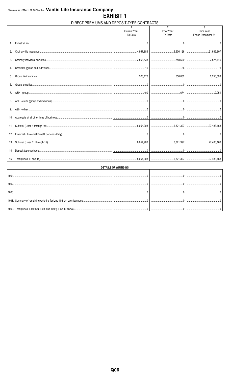### DIRECT PREMIUMS AND DEPOSIT-TYPE CONTRACTS

|     |                     | $\mathfrak{D}$ | 3                 |
|-----|---------------------|----------------|-------------------|
|     | <b>Current Year</b> | Prior Year     | Prior Year        |
|     | To Date             | To Date        | Ended December 31 |
|     |                     |                |                   |
| 2.  |                     |                |                   |
| 3.  |                     |                |                   |
| 4.  |                     |                |                   |
| 5.  |                     |                |                   |
| 6.  |                     |                |                   |
| 7.  |                     |                |                   |
| 8.  |                     |                |                   |
| 9.  |                     |                |                   |
| 10. |                     |                |                   |
| 11. |                     |                |                   |
|     |                     |                |                   |
| 13. |                     |                |                   |
| 14. |                     |                |                   |
|     |                     |                |                   |

| <b>DETAILS OF WRITE-INS</b>                                  |  |  |  |  |  |  |  |  |  |  |
|--------------------------------------------------------------|--|--|--|--|--|--|--|--|--|--|
| 100                                                          |  |  |  |  |  |  |  |  |  |  |
| 1002                                                         |  |  |  |  |  |  |  |  |  |  |
| 100:                                                         |  |  |  |  |  |  |  |  |  |  |
|                                                              |  |  |  |  |  |  |  |  |  |  |
| 1099. Total (Lines 1001 thru 1003 plus 1098) (Line 10 above) |  |  |  |  |  |  |  |  |  |  |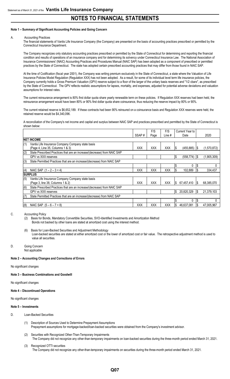#### **Note 1 – Summary of Significant Accounting Policies and Going Concern**

#### A. Accounting Practices

The financial statements of Vantis Life Insurance Company (the Company) are presented on the basis of accounting practices prescribed or permitted by the Connecticut Insurance Department.

The Company recognizes only statutory accounting practices prescribed or permitted by the State of Connecticut for determining and reporting the financial condition and results of operations of an insurance company and for determining its solvency under Connecticut Insurance Law. The National Association of Insurance Commissioners' (NAIC) Accounting Practices and Procedures Manual (NAIC SAP) has been adopted as a component of prescribed or permitted practices by the State of Connecticut. The state has adopted certain prescribed accounting practices that may differ from those found in NAIC SAP.

At the time of Codification (fiscal year 2001), the Company was writing premium exclusively in the State of Connecticut, a state where the Valuation of Life Insurance Policies Model Regulation (Regulation XXX) has not been adopted. As a result, for some of its individual level term life insurance policies, the Company currently holds a Gross Premium Valuation (GPV) reserve subject to a floor of the larger of the unitary basis reserves and "1/2 cbarx", as prescribed by the State of Connecticut. The GPV reflects realistic assumptions for lapses, mortality, and expenses, adjusted for potential adverse deviations and valuation assumptions for interest rates.

The current reinsurance arrangement is 80% first dollar quota share yearly renewable term on these policies. If Regulation XXX reserves had been held, the reinsurance arrangement would have been 80% or 90% first dollar quota share coinsurance, thus reducing the reserve impact by 80% or 90%.

The current retained reserve is \$6,652,189. If these contracts had been 90% reinsured on a coinsurance basis and Regulation XXX reserves were held, the retained reserve would be \$4,340,096.

A reconciliation of the Company's net income and capital and surplus between NAIC SAP and practices prescribed and permitted by the State of Connecticut is shown below:

|     |                                                                          |            | F/S        | F/S        | Current Year to               |     |             |
|-----|--------------------------------------------------------------------------|------------|------------|------------|-------------------------------|-----|-------------|
|     |                                                                          | SSAP#      | Page       | Line #     | Date                          |     | 2020        |
|     | <b>INET INCOME</b>                                                       |            |            |            |                               |     |             |
| (1) | Vantis Life Insurance Company Company state basis                        |            |            |            |                               |     |             |
|     | (Page 4, Line 35, Columns 1 & 3)                                         | <b>XXX</b> | <b>XXX</b> | <b>XXX</b> | $(455, 885)$ $\sqrt{\$}$<br>S |     | (1,570,872) |
| (2) | State Prescribed Practices that are an increase/(decrease) from NAIC SAP |            |            |            |                               |     |             |
|     | GPV vs XXX reserves                                                      |            |            |            | \$<br>(558, 774)              | 1\$ | (1,905,309) |
| (3) | State Permitted Practices that are an increase/(decrease) from NAIC SAP  |            |            |            |                               |     |             |
|     |                                                                          |            |            |            | 0                             | l\$ |             |
| (4) | NAIC SAP $(1 - 2 - 3 = 4)$                                               | <b>XXX</b> | XXX        | <b>XXX</b> | 102,889                       |     | 334,437     |
|     | Isurplus                                                                 |            |            |            |                               |     |             |
| (5) | Vantis Life Insurance Company Company state basis                        |            |            |            |                               |     |             |
|     | (Page 3, line 38, Columns 1 & 2)                                         | <b>XXX</b> | <b>XXX</b> | <b>XXX</b> | 67,457,410<br>S               | IS  | 68,385,070  |
| (6) | State Prescribed Practices that are an increase/(decrease) from NAIC SAP |            |            |            |                               |     |             |
|     | <b>GPV vs XXX reserves</b>                                               |            |            |            | 20,820,329<br>\$              | l\$ | 21,379,103  |
| (7) | State Permitted Practices that are an increase/(decrease) from NAIC SAP  |            |            |            |                               |     |             |
|     |                                                                          |            |            |            | 0                             | l\$ |             |
| (8) | NAIC SAP $(5 - 6 - 7 = 8)$                                               | <b>XXX</b> | XXX        | <b>XXX</b> | 46,637,081                    | I\$ | 47,005,967  |

#### C. Accounting Policy

- (2) Basis for Bonds, Mandatory Convertible Securities, SVO-Identified Investments and Amortization Method Bonds not backed by other loans are stated at amortized cost using the interest method.
- (6) Basis for Loan-Backed Securities and Adjustment Methodology Loan-backed securities are stated at either amortized cost or the lower of amortized cost or fair value. The retrospective adjustment method is used to value all securities.
- D. Going Concern Not applicable

#### **Note 2 – Accounting Changes and Corrections of Errors**

No significant changes

**Note 3 – Business Combinations and Goodwill**

No significant changes

#### **Note 4 – Discontinued Operations**

No significant changes

#### **Note 5 – Investments**

- D. Loan-Backed Securities
	- (1) Description of Sources Used to Determine Prepayment Assumptions Prepayment assumptions for mortgage-backed/loan-backed securities were obtained from the Company's investment advisor.
	- (2) Securities with Recognized Other-Than-Temporary Impairments The Company did not recognize any other-than-temporary impairments on loan-backed securities during the three-month period ended March 31, 2021.
	- (3) Recognized OTTI securities The Company did not recognize any other-than-temporary impairments on securities during the three-month period ended March 31, 2021.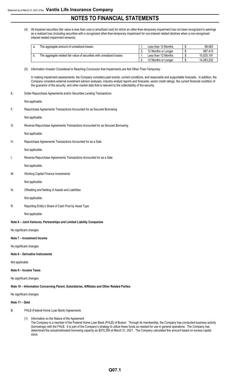(4) All impaired securities (fair value is less than cost or amortized cost) for which an other-than-temporary impairment has not been recognized in earnings as a realized loss (including securities with a recognized other-than-temporary impairment for non-interest related declines when a non-recognized interest related impairment remains):

| The aggregate amount of unrealized losses:                             | Less than 12 Months | 89,063     |
|------------------------------------------------------------------------|---------------------|------------|
|                                                                        | 12 Months or Longer | 587.410    |
| The aggregate related fair value of securities with unrealized losses: | Less than 12 Months | 10.025.191 |
|                                                                        | 12 Months or Longer | 14,283,232 |

(5) Information Investor Considered in Reaching Conclusion that Impairments are Not Other-Than-Temporary

In making impairment assessments, the Company considers past events, current conditions, and reasonable and supportable forecasts. In addition, the Company considers external investment advisor analyses, industry analyst reports and forecasts, sector credit ratings, the current financial condition of the guarantor of the security, and other market data that is relevant to the collectability of the security.

E. Dollar Repurchase Agreements and/or Securities Lending Transactions

Not applicable.

F. Repurchase Agreements Transactions Accounted for as Secured Borrowing

Not applicable.

G. Reverse Repurchase Agreements Transactions Accounted for as Secured Borrowing

Not applicable.

H. Repurchase Agreements Transactions Accounted for as a Sale

Not applicable.

I. Reverse Repurchase Agreements Transactions Accounted for as a Sale

Not applicable.

M. Working Capital Finance Investments

Not applicable.

N. Offsetting and Netting of Assets and Liabilities

Not applicable.

R. Reporting Entity's Share of Cash Pool by Asset Type

Not applicable.

**Note 6 – Joint Ventures, Partnerships and Limited Liability Companies**

No significant changes

**Note 7 – Investment Income**

No significant changes

#### **Note 8 – Derivative Instruments**

Not applicable

#### **Note 9 – Income Taxes**

No significant changes

**Note 10 – Information Concerning Parent, Subsidiaries, Affiliates and Other Related Parties**

No significant changes

#### **Note 11 – Debt**

- B. FHLB (Federal Home Loan Bank) Agreements
	- (1) Information on the Nature of the Agreement
		- The Company is a member of the Federal Home Loan Bank (FHLB) of Boston. Through its membership, the Company has conducted business activity (borrowings) with the FHLB. It is part of the Company's strategy to utilize these funds as needed for use in general operations. The Company has determined the actual/estimated borrowing capacity as \$570,359 at March 31, 2021. The Company calculated this amount based on excess capital stock.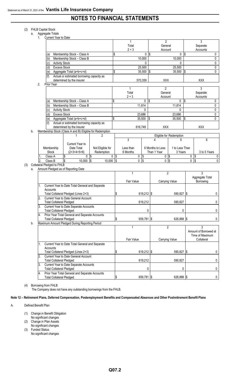#### (2) FHLB Capital Stock

a. Aggregate Totals

|     |    | 1. | Current Year to Date            |                                                          |                  |                           |              |                |                  |                         |            |                       |           |
|-----|----|----|---------------------------------|----------------------------------------------------------|------------------|---------------------------|--------------|----------------|------------------|-------------------------|------------|-----------------------|-----------|
|     |    |    |                                 |                                                          |                  |                           | 1            |                | $\overline{2}$   |                         |            | 3                     |           |
|     |    |    |                                 |                                                          |                  |                           | Total        |                | General          |                         |            | Separate              |           |
|     |    |    |                                 |                                                          |                  |                           | $2 + 3$      |                | Account          |                         |            | Accounts              |           |
|     |    |    | (a)                             | Membership Stock - Class A                               |                  | \$                        |              | 0 <sup>3</sup> |                  | 0                       | $\sqrt{3}$ |                       | 0         |
|     |    |    | (b)                             | Membership Stock - Class B                               |                  |                           |              | 10,000         |                  | 10,000                  |            |                       | 0         |
|     |    |    | <b>Activity Stock</b><br>(C)    |                                                          |                  |                           |              | $\mathbf{0}$   |                  | 0                       |            |                       | $\pmb{0}$ |
|     |    |    | <b>Excess Stock</b><br>(d       |                                                          |                  |                           |              | 25,500         |                  | 25,500                  |            |                       | 0         |
|     |    |    | (e)                             | Aggregate Total (a+b+c+d)                                |                  | \$                        |              | 35,500         | 1\$              | 35,500                  | $\sqrt{3}$ |                       | $\Omega$  |
|     |    |    |                                 | Actual or estimated borrowing capacity as                |                  |                           |              |                |                  |                         |            |                       |           |
|     |    |    |                                 | determined by the insurer                                |                  |                           |              | 570,359        | XXX              |                         |            | XXX                   |           |
|     |    | 2. | Prior Year                      |                                                          |                  |                           |              |                |                  |                         |            |                       |           |
|     |    |    |                                 |                                                          |                  |                           | 1            |                | $\overline{2}$   |                         |            | 3                     |           |
|     |    |    |                                 |                                                          |                  |                           | Total        |                | General          |                         |            | Separate              |           |
|     |    |    |                                 |                                                          |                  |                           | $2 + 3$      |                | Account          |                         |            | Accounts              |           |
|     |    |    | a)                              | Membership Stock - Class A                               |                  | \$                        |              | 0              | \$               | 0                       | l\$        |                       | 0         |
|     |    |    | (b)                             | Membership Stock - Class B                               |                  |                           |              | 11,814         |                  | 11,814                  |            |                       | 0         |
|     |    |    | <b>Activity Stock</b>           |                                                          |                  |                           |              | $\Omega$       |                  | $\Omega$                |            |                       | 0         |
|     |    |    | (c)<br><b>Excess Stock</b>      |                                                          |                  |                           |              |                |                  |                         |            |                       | 0         |
|     |    |    | (d                              |                                                          |                  |                           |              | 23,686         |                  | 23,686                  |            |                       |           |
|     |    |    | (e)                             | Aggregate Total (a+b+c+d)                                |                  | $\boldsymbol{\mathsf{S}}$ |              | 35,500         | $\sqrt{2}$       | 35,500                  | $\sqrt{3}$ |                       | 0         |
|     |    |    | (f)                             | Actual or estimated borrowing capacity as                |                  |                           |              |                |                  |                         |            |                       |           |
|     |    |    |                                 | determined by the insurer                                |                  |                           | 616,749      |                | XXX              |                         |            | XXX                   |           |
|     | b. |    |                                 | Membership Stock (Class A and B) Eligible for Redemption |                  |                           |              |                |                  |                         |            |                       |           |
|     |    |    |                                 | 1                                                        | $\overline{2}$   |                           |              |                |                  | Eligible for Redemption |            |                       |           |
|     |    |    |                                 |                                                          |                  |                           | 3            |                | 4                | 5                       |            | 6                     |           |
|     |    |    |                                 | Current Year to                                          |                  |                           |              |                |                  |                         |            |                       |           |
|     |    |    | Membership                      | Date Total                                               | Not Eligible for |                           | Less than    |                | 6 Months to Less | 1 to Less Than          |            |                       |           |
|     |    |    | Stock                           | $(2+3+4+5+6)$                                            | Redemption       |                           | 6 Months     |                | Than 1 Year      | 3 Years                 |            | 3 to 5 Years          |           |
|     |    |    | Class A                         | \$<br>0 <sup>8</sup>                                     |                  | 0<br>\$                   | 0            | \$             | 0                | $\sqrt{3}$              | 0          | \$                    | 0         |
|     |    |    | Class B                         | Ŝ.<br>$10,000$ \$                                        | 10,000           | Ŝ.                        | 0            | \$             | 0                | $\sqrt{3}$              | 0          | \$                    | 0         |
| (3) |    |    | Collateral Pledged to FHLB      |                                                          |                  |                           |              |                |                  |                         |            |                       |           |
|     | a. |    |                                 | Amount Pledged as of Reporting Date                      |                  |                           |              |                |                  |                         |            |                       |           |
|     |    |    |                                 |                                                          |                  |                           | $\mathbf{1}$ |                | $\overline{2}$   |                         |            | 3                     |           |
|     |    |    |                                 |                                                          |                  |                           |              |                |                  |                         |            | Aggregate Total       |           |
|     |    |    |                                 |                                                          |                  |                           | Fair Value   |                | Carrying Value   |                         |            | Borrowing             |           |
|     |    | 1. |                                 | Current Year to Date Total General and Separate          |                  |                           |              |                |                  |                         |            |                       |           |
|     |    |    | Accounts                        |                                                          |                  |                           |              |                |                  |                         |            |                       |           |
|     |    |    |                                 | Total Collateral Pledged (Lines 2+3)                     |                  | \$                        |              | 619,212 \$     |                  | 590,827 \$              |            |                       | 0         |
|     |    | 2. |                                 | Current Year to Date General Account                     |                  |                           |              |                |                  |                         |            |                       |           |
|     |    |    | <b>Total Collateral Pledged</b> |                                                          |                  |                           |              | 619,212        |                  | 590,827                 |            |                       | 0         |
|     |    | 3. |                                 | Current Year to Date Separate Accounts                   |                  |                           |              |                |                  |                         |            |                       |           |
|     |    |    | <b>Total Collateral Pledged</b> |                                                          |                  |                           |              | 0              |                  | 0                       |            |                       | 0         |
|     |    | 4. |                                 | Prior Year Total General and Separate Accounts           |                  |                           |              |                |                  |                         |            |                       |           |
|     |    |    | <b>Total Collateral Pledged</b> |                                                          |                  | \$                        |              | 659,781 \$     |                  | 626,888 \$              |            |                       | 0         |
|     | b. |    |                                 | Maximum Amount Pledged During Reporting Period           |                  |                           |              |                |                  |                         |            |                       |           |
|     |    |    |                                 |                                                          |                  |                           | 1            |                |                  | $\overline{2}$          |            | 3                     |           |
|     |    |    |                                 |                                                          |                  |                           |              |                |                  |                         |            | Amount of Borrowed at |           |
|     |    |    |                                 |                                                          |                  |                           |              |                |                  |                         |            | Time of Maximum       |           |
|     |    |    |                                 |                                                          |                  |                           | Fair Value   |                | Carrying Value   |                         |            | Collateral            |           |
|     |    | 1. |                                 | Current Year to Date Total General and Separate          |                  |                           |              |                |                  |                         |            |                       |           |
|     |    |    | Accounts                        |                                                          |                  |                           |              |                |                  |                         |            |                       |           |
|     |    |    |                                 | Total Collateral Pledged (Lines 2+3)                     |                  | \$                        |              | 619,212 \$     |                  | 590,827 \$              |            |                       | 0         |
|     |    | 2. |                                 | Current Year to Date General Account                     |                  |                           |              |                |                  |                         |            |                       |           |
|     |    |    | <b>Total Collateral Pledged</b> |                                                          |                  |                           |              | 619,212        |                  | 590,827                 |            |                       | 0         |
|     |    | 3. |                                 |                                                          |                  |                           |              |                |                  |                         |            |                       |           |
|     |    |    |                                 | Current Year to Date Separate Accounts                   |                  |                           |              |                |                  |                         |            |                       |           |
|     |    |    | <b>Total Collateral Pledged</b> |                                                          |                  |                           |              | 0              |                  | 0                       |            |                       | 0         |
|     |    | 4. | <b>Total Collateral Pledged</b> | Prior Year Total General and Separate Accounts           |                  | \$                        |              | 659,781 \$     |                  | 626,888 \$              |            |                       | 0         |

(4) Borrowing from FHLB

The Company does not have any outstanding borrowings from the FHLB.

**Note 12 – Retirement Plans, Deferred Compensation, Postemployment Benefits and Compensated Absences and Other Postretirement Benefit Plans**

A. Defined Benefit Plan

- (1) Change in Benefit Obligation
- No significant changes (2) Change in Plan Assets
- No significant changes
- (3) Funded Status No significant changes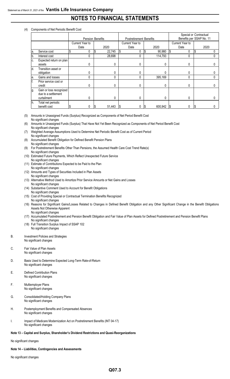#### (4) Components of Net Periodic Benefit Cost

|     |                         |                 |                  |                                |             |                          | Special or Contractual |  |
|-----|-------------------------|-----------------|------------------|--------------------------------|-------------|--------------------------|------------------------|--|
|     |                         |                 | Pension Benefits | <b>Postretirement Benefits</b> |             | Benefits per SSAP No. 11 |                        |  |
|     |                         | Current Year to |                  | <b>Current Year to</b>         |             | Current Year to          |                        |  |
|     |                         | Date            | 2020             | Date                           | 2020        | Date                     | 2020                   |  |
| la. | Service cost            | 0               | 22,745<br>S      | 0<br>l S                       | 90,980<br>ъ | l\$                      |                        |  |
|     | Interest cost           |                 | 28,698           | 0                              | 114,793     |                          |                        |  |
| C.  | Expected return on plan |                 |                  |                                |             |                          |                        |  |
|     | assets                  | 0               | 0                | 0                              |             | 0                        |                        |  |
| ld. | Transition asset or     |                 |                  |                                |             |                          |                        |  |
|     | obligation              |                 | 0                |                                |             |                          |                        |  |
| е.  | Gains and losses        | 0               | 0                | 0                              | 395,169     | 0                        |                        |  |
|     | Prior service cost or   |                 |                  |                                |             |                          |                        |  |
|     | credit                  |                 | $\Omega$         |                                |             | 0                        |                        |  |
| Ig. | Gain or loss recognized |                 |                  |                                |             |                          |                        |  |
|     | due to a settlement     |                 |                  |                                |             |                          |                        |  |
|     | curtailment             | 0               | 0                | O                              |             | 0                        |                        |  |
| Ih. | Total net periodic      |                 |                  |                                |             |                          |                        |  |
|     | benefit cost            |                 | 51,443<br>I\$    | 1\$                            | 600,942     | I\$                      | Œ                      |  |

(5) Amounts in Unassigned Funds (Surplus) Recognized as Components of Net Period Benefit Cost No significant changes

- (6) Amounts in Unassigned Funds (Surplus) That Have Not Yet Been Recognized as Components of Net Period Benefit Cost No significant changes
- (7) Weighted Average Assumptions Used to Determine Net Periodic Benefit Cost as of Current Period No significant changes
- (8) Accumulated Benefit Obligation for Defined Benefit Pension Plans No significant changes
- (9) For Postretirement Benefits Other Than Pensions, the Assumed Health Care Cost Trend Rate(s) No significant changes
- (10) Estimated Future Payments, Which Reflect Unexpected Future Service No significant changes
- (11) Estimate of Contributions Expected to be Paid to the Plan No significant changes
- (12) Amounts and Types of Securities Included in Plan Assets
- No significant changes
- (13) Alternative Method Used to Amortize Prior Service Amounts or Net Gains and Losses No significant changes
- (14) Substantive Comment Used to Account for Benefit Obligations
- No significant changes
- (15) Cost of Providing Special or Contractual Termination Benefits Recognized
- No significant changes
- (16) Reasons for Significant Gains/Losses Related to Changes in Defined Benefit Obligation and any Other Significant Change in the Benefit Obligations Assets Not Otherwise Apparent No significant changes
- (17) Accumulated Postretirement and Pension Benefit Obligation and Fair Value of Plan Assets for Defined Postretirement and Pension Benefit Plans No significant changes
- (18) Full Transition Surplus Impact of SSAP 102 No significant changes
- B. Investment Policies and Strategies No significant changes

#### C. Fair Value of Plan Assets No significant changes

- D. Basis Used to Determine Expected Long-Term Rate-of-Return No significant changes
- E. Defined Contribution Plans No significant changes
- F. Multiemployer Plans No significant changes
- G. Consolidated/Holding Company Plans No significant changes
- H. Postemployment Benefits and Compensated Absences No significant changes
- I. Impact of Medicare Modernization Act on Postretirement Benefits (INT 04-17) No significant changes

#### **Note 13 – Capital and Surplus, Shareholder's Dividend Restrictions and Quasi-Reorganizations**

No significant changes

#### **Note 14 – Liabilities, Contingencies and Assessments**

No significant changes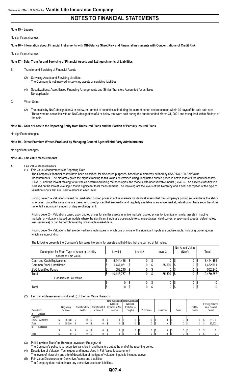#### **Note 15 – Leases**

No significant changes

**Note 16 – Information about Financial Instruments with Off-Balance Sheet Risk and Financial Instruments with Concentrations of Credit Risk**

#### No significant changes

#### **Note 17 – Sale, Transfer and Servicing of Financial Assets and Extinguishments of Liabilities**

- B. Transfer and Servicing of Financial Assets
	- (2) Servicing Assets and Servicing Liabilities The Company is not involved in servicing assets or servicing liabilities.
	- (4) Securitizations, Asset-Based Financing Arrangements and Similar Transfers Accounted for as Sales Not applicable

#### C. Wash Sales

(2) The details by NAIC designation 3 or below, or unrated of securities sold during the current period and reacquired within 30 days of the sale date are: There were no securities with an NAIC designation of 3 or below that were sold during the quarter ended March 31, 2021 and reacquired within 30 days of the sale.

#### **Note 18 – Gain or Loss to the Reporting Entity from Uninsured Plans and the Portion of Partially Insured Plans**

#### No significant changes

#### **Note 19 – Direct Premium Written/Produced by Managing General Agents/Third Party Administrators**

#### No significant changes

#### **Note 20 – Fair Value Measurements**

#### A. Fair Value Measurements

(1) Fair Value Measurements at Reporting Date

The Company's financial assets have been classified, for disclosure purposes, based on a hierarchy defined by SSAP No. 100-Fair Value Measurements. The hierarchy gives the highest ranking to fair values determined using unadjusted quoted prices in active markets for identical assets (Level 1) and the lowest ranking to fair values determined using methodologies and models with unobservable inputs (Level 3). An asset's classification is based on the lowest level input that is significant to its measurement. The following are the levels of the hierarchy and a brief description of the type of valuation inputs that are used to establish each level:

Pricing Level 1 – Valuations based on unadjusted quoted prices in active markets for identical assets that the Company's pricing sources have the ability to access. Since the valuations are based on quoted prices that are readily and regularly available in an active market, valuation of these securities does not entail a significant amount or degree of judgment.

Pricing Level 2 - Valuations based upon quoted prices for similar assets in active markets, quoted prices for identical or similar assets in inactive markets; or valuations based on models where the significant inputs are observable (e.g. interest rates, yield curves, prepayment speeds, default rates, loss severities) or can be corroborated by observable market data.

Pricing Level 3 – Valuations that are derived from techniques in which one or more of the significant inputs are unobservable, including broker quotes which are non-binding

The following presents the Company's fair value hierarchy for assets and liabilities that are carried at fair value:

|                                                 |            |         |         | Net Asset Value |    |            |
|-------------------------------------------------|------------|---------|---------|-----------------|----|------------|
| Description for Each Type of Asset or Liability | Level 1    | Level 2 | Level 3 | (NAV)           |    | Total      |
| Assets at Fair Value                            |            |         |         |                 |    |            |
| Cash and Cash Equivalents                       | 8.444.486  |         |         | υ               |    | 8,444,486  |
| Common Stock-Unaffiliated                       | 1,447,061  |         | 35,500  | υ               | ◡  | 1,482,561  |
| <b>SVO Identified Funds</b>                     | 552.240    |         |         | υ               |    | 552.240    |
| Total                                           | 10.443.787 |         | 35,500  | υ               | S  | 10,479,287 |
| Liabilities at Fair Value                       |            |         |         |                 |    |            |
|                                                 |            |         |         | υ               |    |            |
| Total                                           |            | 0       |         | υ               | ıΦ | 0          |

#### (2) Fair Value Measurements in (Level 3) of the Fair Value Hierarchy

| Description        | Beginning<br>Balance | Transfers Into<br>Level 3 |     | Transfers Out<br>of Level 3 | (Losses)<br>Included in Net<br>Income | Total Gains and Total Gains and<br>(Losses)<br>Included in<br>Surplus | Purchases | <b>Issuances</b> | Sales | Settle-<br>ments |      | <b>Ending Balance</b><br>as of Current<br>Period |
|--------------------|----------------------|---------------------------|-----|-----------------------------|---------------------------------------|-----------------------------------------------------------------------|-----------|------------------|-------|------------------|------|--------------------------------------------------|
| Assets<br>la.      |                      |                           |     |                             |                                       |                                                                       |           |                  |       |                  |      |                                                  |
| Common             |                      |                           |     |                             |                                       |                                                                       |           |                  |       |                  |      |                                                  |
| Stock-Unaffiliated | 35,500               | 0                         | I S |                             | 0                                     | 0                                                                     |           |                  |       | 0                | l \$ | 35,500                                           |
| Total              | 35,500               | 0                         |     |                             |                                       |                                                                       |           |                  |       | 0                |      | 35,500                                           |
| Liabilities<br>Ib. |                      |                           |     |                             |                                       |                                                                       |           |                  |       |                  |      |                                                  |
|                    |                      | 0                         |     |                             |                                       |                                                                       |           |                  |       |                  |      |                                                  |
| Total              |                      | 0                         |     |                             |                                       |                                                                       |           |                  |       | 0                |      |                                                  |

(3) Policies when Transfers Between Levels are Recognized

The Company's policy is to recognize transfers in and transfers out at the end of the reporting period.

Description of Valuation Techniques and Inputs Used in Fair Value Measurement

The levels of hierarchy and a brief description of the type of valuation inputs is included above.

(5) Fair Value Disclosures for Derivative Assets and Liabilities The Company does not maintain any derivative assets or liabilities.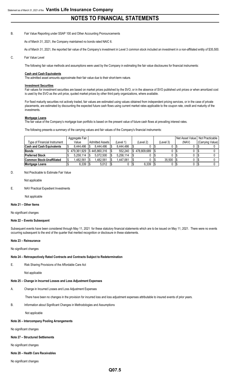#### B. Fair Value Reporting under SSAP 100 and Other Accounting Pronouncements

As of March 31, 2021, the Company maintained no bonds rated NAIC 6.

As of March 31, 2021, the reported fair value of the Company's investment in Level 3 common stock included an investment in a non-affiliated entity of \$35,500.

#### C. Fair Value Level

The following fair value methods and assumptions were used by the Company in estimating the fair value disclosures for financial instruments:

#### **Cash and Cash Equivalents**

The admitted asset amounts approximate their fair value due to their short-term nature.

#### **Investment Securities**

Fair values for investment securities are based on market prices published by the SVO, or in the absence of SVO published unit prices or when amortized cost is used by the SVO as the unit price, quoted market prices by other third party organizations, where available.

For fixed maturity securities not actively traded, fair values are estimated using values obtained from independent pricing services, or in the case of private placements, are estimated by discounting the expected future cash flows using current market rates applicable to the coupon rate, credit and maturity of the investments.

#### **Mortgage Loans**

The fair value of the Company's mortgage loan portfolio is based on the present value of future cash flows at prevailing interest rates.

The following presents a summary of the carrying values and fair values of the Company's financial instruments:

|                                  | Aggregate Fair |                        |           |             |           | Net Asset Value Not Practicable |                  |
|----------------------------------|----------------|------------------------|-----------|-------------|-----------|---------------------------------|------------------|
| Type of Financial Instrument     | Value          | <b>Admitted Assets</b> | (Level 1) | 'Level 2)   | (Level 3) | (NAV)                           | (Carrying Value) |
| <b>Cash and Cash Equivalents</b> | 8.444.486      | 8.444.486              | 8.444.486 |             |           |                                 |                  |
| <b>Bonds</b>                     | 479.361.929    | S 445.860.316          | 552.240   | 478.809.689 |           |                                 |                  |
| <b>Preferred Stock</b>           | 5.258.114      | 5.072.500              | 5.258.114 |             |           |                                 |                  |
| Common Stock-Unaffiliated        | 1.482.561      | 1.482.561              | 1.447.061 |             | 35.500    |                                 |                  |
| <b>Mortgage Loans</b>            | 6,339          | 5,012                  |           | 6,339       |           |                                 |                  |

#### D. Not Practicable to Estimate Fair Value

Not applicable

#### E. NAV Practical Expedient Investments

Not applicable

#### **Note 21 – Other Items**

No significant changes

#### **Note 22 – Events Subsequent**

Subsequent events have been considered through May 11, 2021 for these statutory financial statements which are to be issued on May 11, 2021. There were no events occurring subsequent to the end of the quarter that merited recognition or disclosure in these statements.

#### **Note 23 – Reinsurance**

No significant changes

#### **Note 24 – Retrospectively Rated Contracts and Contracts Subject to Redetermination**

E. Risk Sharing Provisions of the Affordable Care Act

Not applicable

#### **Note 25 – Change in Incurred Losses and Loss Adjustment Expenses**

A. Change in Incurred Losses and Loss Adjustment Expenses

There have been no changes in the provision for incurred loss and loss adjustment expenses attributable to insured events of prior years.

#### B. Information about Significant Changes in Methodologies and Assumptions

Not applicable

#### **Note 26 – Intercompany Pooling Arrangements**

No significant changes

#### **Note 27 – Structured Settlements**

No significant changes

#### **Note 28 – Health Care Receivables**

No significant changes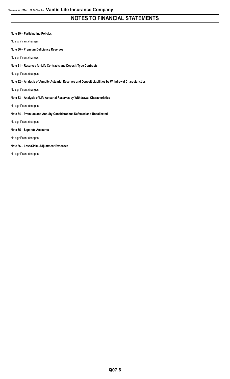#### **Note 29 – Participating Policies**

No significant changes

**Note 30 – Premium Deficiency Reserves**

No significant changes

**Note 31 – Reserves for Life Contracts and Deposit-Type Contracts**

No significant changes

**Note 32 – Analysis of Annuity Actuarial Reserves and Deposit Liabilities by Withdrawal Characteristics**

No significant changes

#### **Note 33 – Analysis of Life Actuarial Reserves by Withdrawal Characteristics**

No significant changes

**Note 34 – Premium and Annuity Considerations Deferred and Uncollected**

No significant changes

#### **Note 35 – Separate Accounts**

No significant changes

#### **Note 36 – Loss/Claim Adjustment Expenses**

No significant changes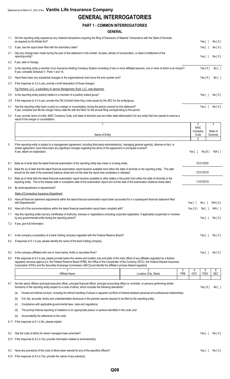## **GENERAL INTERROGATORIES**

#### **PART 1 - COMMON INTERROGATORIES**

#### **GENERAL**

| 1.1 | Did the reporting entity experience any material transactions requiring the filing of Disclosure of Material Transactions with the State of Domicile,<br>as required by the Model Act?                                                                                                                            | Yes []                       | No[X]     |
|-----|-------------------------------------------------------------------------------------------------------------------------------------------------------------------------------------------------------------------------------------------------------------------------------------------------------------------|------------------------------|-----------|
| 1.2 | If yes, has the report been filed with the domiciliary state?                                                                                                                                                                                                                                                     | Yes $\lceil$ 1               | No[X]     |
| 2.1 | Has any change been made during the year of this statement in the charter, by-laws, articles of incorporation, or deed of settlement of the<br>reporting entity?                                                                                                                                                  | Yes $\lceil$ 1               | No[X]     |
| 2.2 | If yes, date of change:                                                                                                                                                                                                                                                                                           |                              |           |
| 3.1 | Is the reporting entity a member of an Insurance Holding Company System consisting of two or more affiliated persons, one or more of which is an insurer?<br>If yes, complete Schedule Y, Parts 1 and 1A.                                                                                                         | Yes $[X]$                    | No[ ]     |
| 3.2 | Have there been any substantial changes in the organizational chart since the prior quarter end?                                                                                                                                                                                                                  | Yes $[X]$                    | No [ ]    |
| 3.3 | If the response to 3.2 is yes, provide a brief description of those changes.                                                                                                                                                                                                                                      |                              |           |
|     | Fig Partners, LLC, a subsidiary of Janney Montgomery Scott, LLC, was dissolved.                                                                                                                                                                                                                                   |                              |           |
| 3.4 | Is the reporting entity publicly traded or a member of a publicly traded group?                                                                                                                                                                                                                                   | Yes $\lceil$ 1               | No[X]     |
| 3.5 | If the response to 3.4 is yes, provide the CIK (Central Index Key) code issued by the SEC for the entity/group.                                                                                                                                                                                                   |                              |           |
| 4.1 | Has the reporting entity been a party to a merger or consolidation during the period covered by this statement?<br>If yes, complete and file the merger history data file with the NAIC for the annual filing corresponding to this period.                                                                       | Yes $\lceil$ 1               | No[X]     |
| 4.2 | If yes, provide name of entity, NAIC Company Code, and state of domicile (use two letter state abbreviation) for any entity that has ceased to exist as a<br>result of the merger or consolidation.                                                                                                               |                              |           |
|     |                                                                                                                                                                                                                                                                                                                   | $\overline{2}$               | 3         |
|     |                                                                                                                                                                                                                                                                                                                   | <b>NAIC</b><br>Company       | State of  |
|     | Name of Entity                                                                                                                                                                                                                                                                                                    | Code                         | Domicile  |
|     |                                                                                                                                                                                                                                                                                                                   | $\Omega$                     |           |
| 5.  | If the reporting entity is subject to a management agreement, including third-party administrator(s), managing general agent(s), attomey-in-fact, or<br>similar agreement, have there been any significant changes regarding the terms of the agreement or principals involved?<br>If yes, attach an explanation. | Yes $\lceil \rceil$<br>No[X] | $N/A$ [ ] |
| 6.1 | State as of what date the latest financial examination of the reporting entity was made or is being made.                                                                                                                                                                                                         | 12/31/2020                   |           |
|     | 6.2 State the as of date that the latest financial examination report became available from either the state of domicile or the reporting entity. This date                                                                                                                                                       |                              |           |

|     | should be the date of the examined balance sheet and not the date the report was completed or released.                                               | 12/31/2018 |
|-----|-------------------------------------------------------------------------------------------------------------------------------------------------------|------------|
| 6.3 | State as of what date the latest financial examination report became available to other states or the public from either the state of domicile or the |            |
|     | reporting entity. This is the release date or completion date of the examination report and not the date of the examination (balance sheet date).     | 11/07/2019 |

| 6.4 | By what department or departments?                                                                                                                                                                                       |           |       |                  |
|-----|--------------------------------------------------------------------------------------------------------------------------------------------------------------------------------------------------------------------------|-----------|-------|------------------|
|     | State of Connecticut Insurance Department                                                                                                                                                                                |           |       |                  |
| 6.5 | Have all financial statement adjustments within the latest financial examination report been accounted for in a subsequent financial statement filed<br>with Departments?                                                | Yes [     | No [  | N/A[X]           |
| 6.6 | Have all of the recommendations within the latest financial examination report been complied with?                                                                                                                       | Yes $[X]$ | No I  | $N/A$ $\lceil$ 1 |
| 7.1 | Has this reporting entity had any Certificates of Authority, licenses or registrations (including corporate registration, if applicable) suspended or revoked<br>by any governmental entity during the reporting period? |           | Yes ſ | No[X]            |
| 7.2 | If yes, give full information:                                                                                                                                                                                           |           |       |                  |
|     |                                                                                                                                                                                                                          |           |       |                  |
| 8.1 | Is the company a subsidiary of a bank holding company regulated with the Federal Reserve Board?                                                                                                                          |           | Yes [ | No[X]            |
| 8.2 | If response to 8.1 is yes, please identify the name of the bank holding company.                                                                                                                                         |           |       |                  |
|     |                                                                                                                                                                                                                          |           |       |                  |

- 8.3 Is the company affiliated with one or more banks, thrifts or securities firms? Yes [ ] No [ X ]
- 8.4 If the response to 8.3 is yes, please provide below the names and location (city and state of the main office) of any affiliates regulated by a federal regulatory services agency [i.e. the Federal Reserve Board (FRB), the Office of the Comptroller of the Currency (OCC), the Federal Deposit Insurance Corporation (FDIC) and the Securities Exchange Commission (SEC)] and identify the affiliate's primary federal regulator].

|     |                                                                                                                    |                                                                                                                                                                                                                                                                         | 2                      | 3          |            | 5           | 6          |  |
|-----|--------------------------------------------------------------------------------------------------------------------|-------------------------------------------------------------------------------------------------------------------------------------------------------------------------------------------------------------------------------------------------------------------------|------------------------|------------|------------|-------------|------------|--|
|     |                                                                                                                    | Affiliate Name                                                                                                                                                                                                                                                          | Location (City, State) | <b>FRB</b> | <b>OCC</b> | <b>FDIC</b> | <b>SEC</b> |  |
|     |                                                                                                                    |                                                                                                                                                                                                                                                                         |                        |            |            |             |            |  |
| 9.1 |                                                                                                                    | Are the senior officers (principal executive officer, principal financial officer, principal accounting officer or controller, or persons performing similar<br>functions) of the reporting entity subject to a code of ethics, which includes the following standards? |                        |            |            | Yes $[X]$   | No [ ]     |  |
|     | (a)                                                                                                                | Honest and ethical conduct, including the ethical handling of actual or apparent conflicts of interest between personal and professional relationships;                                                                                                                 |                        |            |            |             |            |  |
|     | (b)                                                                                                                | Full, fair, accurate, timely and understandable disclosure in the periodic reports required to be filed by the reporting entity;                                                                                                                                        |                        |            |            |             |            |  |
|     | (c)                                                                                                                | Compliance with applicable governmental laws, rules and regulations;                                                                                                                                                                                                    |                        |            |            |             |            |  |
|     | The prompt internal reporting of violations to an appropriate person or persons identified in the code; and<br>(d) |                                                                                                                                                                                                                                                                         |                        |            |            |             |            |  |
|     | (e)                                                                                                                | Accountability for adherence to the code.                                                                                                                                                                                                                               |                        |            |            |             |            |  |
|     |                                                                                                                    | 9.11 If the response to 9.1 is No, please explain:                                                                                                                                                                                                                      |                        |            |            |             |            |  |
|     |                                                                                                                    |                                                                                                                                                                                                                                                                         |                        |            |            |             |            |  |
| 9.2 |                                                                                                                    | Has the code of ethics for senior managers been amended?                                                                                                                                                                                                                |                        |            |            | Yes [       | No[X]      |  |
|     |                                                                                                                    | 9.21 If the response to 9.2 is Yes, provide information related to amendment(s).                                                                                                                                                                                        |                        |            |            |             |            |  |
|     |                                                                                                                    |                                                                                                                                                                                                                                                                         |                        |            |            |             |            |  |
| 9.3 |                                                                                                                    | Have any provisions of the code of ethics been waived for any of the specified officers?                                                                                                                                                                                |                        |            |            | Yes [       | No[X]      |  |

- 
- 9.31 If the response to 9.3 is Yes, provide the nature of any waiver(s).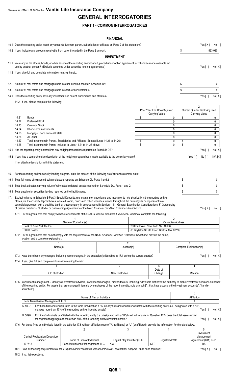## **GENERAL INTERROGATORIES**

### **PART 1 - COMMON INTERROGATORIES**

#### **FINANCIAL**

|     |                                                                                                                    | 10.1 Does the reporting entity report any amounts due from parent, subsidiaries or affiliates on Page 2 of this statement?                                                                                                                                                                                                                                                                                                                                                                                                                                        |                                                                                                                                                                                                                                                   |                            |                                      |          |                                                |                                            | Yes[X]                                          | No [ ]            |
|-----|--------------------------------------------------------------------------------------------------------------------|-------------------------------------------------------------------------------------------------------------------------------------------------------------------------------------------------------------------------------------------------------------------------------------------------------------------------------------------------------------------------------------------------------------------------------------------------------------------------------------------------------------------------------------------------------------------|---------------------------------------------------------------------------------------------------------------------------------------------------------------------------------------------------------------------------------------------------|----------------------------|--------------------------------------|----------|------------------------------------------------|--------------------------------------------|-------------------------------------------------|-------------------|
|     |                                                                                                                    | 10.2 If yes, indicate any amounts receivable from parent included in the Page 2 amount:                                                                                                                                                                                                                                                                                                                                                                                                                                                                           |                                                                                                                                                                                                                                                   |                            |                                      |          |                                                | \$                                         |                                                 | 593,080           |
|     |                                                                                                                    |                                                                                                                                                                                                                                                                                                                                                                                                                                                                                                                                                                   |                                                                                                                                                                                                                                                   |                            | <b>INVESTMENT</b>                    |          |                                                |                                            |                                                 |                   |
|     |                                                                                                                    | 11.1 Were any of the stocks, bonds, or other assets of the reporting entity loaned, placed under option agreement, or otherwise made available for<br>use by another person? (Exclude securities under securities lending agreements.)<br>11.2 If yes, give full and complete information relating thereto:                                                                                                                                                                                                                                                       |                                                                                                                                                                                                                                                   |                            |                                      |          |                                                |                                            | Yes $\lceil \; \rceil$                          | No[X]             |
|     |                                                                                                                    |                                                                                                                                                                                                                                                                                                                                                                                                                                                                                                                                                                   |                                                                                                                                                                                                                                                   |                            |                                      |          |                                                |                                            |                                                 |                   |
| 12. |                                                                                                                    | Amount of real estate and mortgages held in other invested assets in Schedule BA:                                                                                                                                                                                                                                                                                                                                                                                                                                                                                 |                                                                                                                                                                                                                                                   |                            |                                      |          |                                                | \$                                         |                                                 | 0                 |
| 13. |                                                                                                                    | Amount of real estate and mortgages held in short-term investments:                                                                                                                                                                                                                                                                                                                                                                                                                                                                                               |                                                                                                                                                                                                                                                   |                            |                                      |          |                                                | \$                                         |                                                 | $\mathbf{0}$      |
|     |                                                                                                                    | 14.1 Does the reporting entity have any investments in parent, subsidiaries and affiliates?                                                                                                                                                                                                                                                                                                                                                                                                                                                                       |                                                                                                                                                                                                                                                   |                            |                                      |          |                                                |                                            | Yes $[ ]$                                       | No[X]             |
|     |                                                                                                                    | 14.2 If yes, please complete the following:                                                                                                                                                                                                                                                                                                                                                                                                                                                                                                                       |                                                                                                                                                                                                                                                   |                            |                                      |          |                                                |                                            | $\mathfrak{p}$                                  |                   |
|     | 14.21                                                                                                              | <b>Bonds</b>                                                                                                                                                                                                                                                                                                                                                                                                                                                                                                                                                      |                                                                                                                                                                                                                                                   |                            |                                      | \$       | Prior Year End Book/Adjusted<br>Carrying Value | \$<br>0                                    | Current Quarter Book/Adjusted<br>Carrying Value | 0                 |
|     | 14.22                                                                                                              | <b>Preferred Stock</b>                                                                                                                                                                                                                                                                                                                                                                                                                                                                                                                                            |                                                                                                                                                                                                                                                   |                            |                                      |          |                                                | 0                                          |                                                 | 0                 |
|     | 14.23<br>14.24                                                                                                     | Common Stock<br>Short-Term Investments                                                                                                                                                                                                                                                                                                                                                                                                                                                                                                                            |                                                                                                                                                                                                                                                   |                            |                                      |          |                                                | 0<br>0                                     |                                                 | 0<br>0            |
|     | 14.25                                                                                                              | Mortgage Loans on Real Estate                                                                                                                                                                                                                                                                                                                                                                                                                                                                                                                                     |                                                                                                                                                                                                                                                   |                            |                                      |          |                                                | 0                                          |                                                 | 0                 |
|     | 14.26<br>All Other<br>0<br>Total Investment in Parent, Subsidiaries and Affiliates (Subtotal Lines 14.21 to 14.26) |                                                                                                                                                                                                                                                                                                                                                                                                                                                                                                                                                                   |                                                                                                                                                                                                                                                   |                            |                                      |          |                                                |                                            |                                                 | 0                 |
|     | 14.27<br>14.28                                                                                                     | Total Investment in Parent included in Lines 14.21 to 14.26 above                                                                                                                                                                                                                                                                                                                                                                                                                                                                                                 |                                                                                                                                                                                                                                                   |                            |                                      | \$<br>\$ |                                                | 0<br>\$<br>\$<br>0                         |                                                 | 0<br>$\mathbf{0}$ |
|     |                                                                                                                    | 15.1 Has the reporting entity entered into any hedging transactions reported on Schedule DB?                                                                                                                                                                                                                                                                                                                                                                                                                                                                      |                                                                                                                                                                                                                                                   |                            |                                      |          |                                                |                                            | Yes $[ \ ]$                                     | No[X]             |
|     |                                                                                                                    | 15.2 If yes, has a comprehensive description of the hedging program been made available to the domiciliary state?                                                                                                                                                                                                                                                                                                                                                                                                                                                 |                                                                                                                                                                                                                                                   |                            |                                      |          |                                                |                                            | Yes $[ \ ]$<br>No [ ]                           | N/A [X]           |
|     |                                                                                                                    | If no, attach a description with this statement.                                                                                                                                                                                                                                                                                                                                                                                                                                                                                                                  |                                                                                                                                                                                                                                                   |                            |                                      |          |                                                |                                            |                                                 |                   |
|     |                                                                                                                    |                                                                                                                                                                                                                                                                                                                                                                                                                                                                                                                                                                   |                                                                                                                                                                                                                                                   |                            |                                      |          |                                                |                                            |                                                 |                   |
| 16. |                                                                                                                    | For the reporting entity's security lending program, state the amount of the following as of current statement date:                                                                                                                                                                                                                                                                                                                                                                                                                                              |                                                                                                                                                                                                                                                   |                            |                                      |          |                                                |                                            |                                                 |                   |
|     |                                                                                                                    | 16.1 Total fair value of reinvested collateral assets reported on Schedule DL, Parts 1 and 2:                                                                                                                                                                                                                                                                                                                                                                                                                                                                     |                                                                                                                                                                                                                                                   |                            |                                      |          |                                                | \$                                         |                                                 | 0<br>0            |
|     |                                                                                                                    | 16.2 Total book adjusted/carrying value of reinvested collateral assets reported on Schedule DL, Parts 1 and 2:                                                                                                                                                                                                                                                                                                                                                                                                                                                   |                                                                                                                                                                                                                                                   |                            |                                      |          |                                                | \$<br>\$                                   |                                                 | 0                 |
|     |                                                                                                                    | 16.3 Total payable for securities lending reported on the liability page:                                                                                                                                                                                                                                                                                                                                                                                                                                                                                         |                                                                                                                                                                                                                                                   |                            |                                      |          |                                                |                                            |                                                 |                   |
| 17. |                                                                                                                    | Excluding items in Schedule E-Part 3-Special Deposits, real estate, mortgage loans and investments held physically in the reporting entity's<br>offices, vaults or safety deposit boxes, were all stocks, bonds and other securities, owned throughout the current year held pursuant to a<br>custodial agreement with a qualified bank or trust company in accordance with Section 1, III - General Examination Considerations, F. Outsourcing<br>of Critical Functions, Custodial or Safekeeping Agreements of the NAIC Financial Condition Examiners Handbook? |                                                                                                                                                                                                                                                   |                            |                                      |          |                                                |                                            |                                                 | Yes[X] No[]       |
|     |                                                                                                                    | 17.1 For all agreements that comply with the requirements of the NAIC Financial Condition Examiners Handbook, complete the following:                                                                                                                                                                                                                                                                                                                                                                                                                             |                                                                                                                                                                                                                                                   |                            |                                      |          |                                                |                                            |                                                 |                   |
|     |                                                                                                                    |                                                                                                                                                                                                                                                                                                                                                                                                                                                                                                                                                                   | Name of Custodian(s)                                                                                                                                                                                                                              |                            |                                      |          |                                                | $\overline{2}$<br><b>Custodian Address</b> |                                                 |                   |
|     |                                                                                                                    | Bank of New York Mellon                                                                                                                                                                                                                                                                                                                                                                                                                                                                                                                                           |                                                                                                                                                                                                                                                   |                            |                                      |          | 200 Park Ave, New York, NY 10166               |                                            |                                                 |                   |
|     |                                                                                                                    | FHLB Boston                                                                                                                                                                                                                                                                                                                                                                                                                                                                                                                                                       |                                                                                                                                                                                                                                                   |                            |                                      |          | 80 Boylston St. 9th Floor, Boston, MA 02199    |                                            |                                                 |                   |
|     |                                                                                                                    | 17.2 For all agreements that do not comply with the requirements of the NAIC Financial Condition Examiners Handbook, provide the name,<br>location and a complete explanation:                                                                                                                                                                                                                                                                                                                                                                                    |                                                                                                                                                                                                                                                   |                            |                                      |          |                                                |                                            |                                                 |                   |
|     |                                                                                                                    | Name(s)                                                                                                                                                                                                                                                                                                                                                                                                                                                                                                                                                           |                                                                                                                                                                                                                                                   |                            | $\overline{2}$<br>Location(s)        |          |                                                |                                            | Complete Explanation(s)                         |                   |
|     |                                                                                                                    |                                                                                                                                                                                                                                                                                                                                                                                                                                                                                                                                                                   |                                                                                                                                                                                                                                                   |                            |                                      |          |                                                |                                            |                                                 |                   |
|     |                                                                                                                    | 17.3 Have there been any changes, including name changes, in the custodian(s) identified in 17.1 during the current quarter?                                                                                                                                                                                                                                                                                                                                                                                                                                      |                                                                                                                                                                                                                                                   |                            |                                      |          |                                                |                                            | Yes $[ ]$                                       | No[X]             |
|     |                                                                                                                    | 17.4 If yes, give full and complete information relating thereto:                                                                                                                                                                                                                                                                                                                                                                                                                                                                                                 |                                                                                                                                                                                                                                                   |                            |                                      |          |                                                |                                            |                                                 |                   |
|     |                                                                                                                    |                                                                                                                                                                                                                                                                                                                                                                                                                                                                                                                                                                   |                                                                                                                                                                                                                                                   |                            | $\overline{2}$                       |          | 3<br>Date of                                   |                                            | 4                                               |                   |
|     |                                                                                                                    | Old Custodian                                                                                                                                                                                                                                                                                                                                                                                                                                                                                                                                                     |                                                                                                                                                                                                                                                   |                            | New Custodian                        |          | Change                                         |                                            | Reason                                          |                   |
|     |                                                                                                                    | 17.5 Investment management - Identify all investment advisors, investment managers, broker/dealers, including individuals that have the authority to make investment decisions on behalf<br>of the reporting entity. For assets that are managed internally by employees of the reporting entity, note as such ["that have access to the investment accounts", "handle<br>securities"].                                                                                                                                                                           |                                                                                                                                                                                                                                                   |                            |                                      |          |                                                |                                            |                                                 |                   |
|     |                                                                                                                    |                                                                                                                                                                                                                                                                                                                                                                                                                                                                                                                                                                   |                                                                                                                                                                                                                                                   |                            |                                      |          |                                                |                                            | $\overline{2}$                                  |                   |
|     |                                                                                                                    | Penn Mutual Asset Management, LLC                                                                                                                                                                                                                                                                                                                                                                                                                                                                                                                                 |                                                                                                                                                                                                                                                   | Name of Firm or Individual |                                      |          |                                                |                                            | Affiliation<br>A                                |                   |
|     |                                                                                                                    | 17.5097                                                                                                                                                                                                                                                                                                                                                                                                                                                                                                                                                           | For those firms/individuals listed in the table for Question 17.5, do any firms/individuals unaffiliated with the reporting entity (i.e., designated with a "U")<br>manage more than 10% of the reporting entity's invested assets?               |                            |                                      |          |                                                |                                            | Yes $\lceil$ 1                                  | No[X]             |
|     |                                                                                                                    | 17.5098                                                                                                                                                                                                                                                                                                                                                                                                                                                                                                                                                           | For firms/individuals unaffiliated with the reporting entity (i.e., designated with a "U") listed in the table for Question 17.5, does the total assets under<br>management aggregate to more than 50% of the reporting entity's invested assets? |                            |                                      |          |                                                |                                            | Yes $[ \ ]$                                     | No[X]             |
|     |                                                                                                                    | 17.6 For those firms or individuals listed in the table for 17.5 with an affiliation code of "A" (affiliated) or "U" (unaffiliated), provide the information for the table below.                                                                                                                                                                                                                                                                                                                                                                                 |                                                                                                                                                                                                                                                   |                            |                                      |          |                                                |                                            |                                                 |                   |
|     |                                                                                                                    | $\mathbf{1}$<br><b>Central Registration Depository</b>                                                                                                                                                                                                                                                                                                                                                                                                                                                                                                            | $\overline{2}$                                                                                                                                                                                                                                    |                            |                                      | 3<br>4   |                                                |                                            | 5<br>Investment<br>Management                   |                   |
|     |                                                                                                                    | Number<br>107518                                                                                                                                                                                                                                                                                                                                                                                                                                                                                                                                                  | Name of Firm or Individual<br>Penn Mutual Asset Management, LLC                                                                                                                                                                                   |                            | Legal Entity Identifier (LEI)<br>N/A |          | Registered With<br><b>SEC</b>                  |                                            | Agreement (IMA) Filed<br>DS                     |                   |
|     |                                                                                                                    |                                                                                                                                                                                                                                                                                                                                                                                                                                                                                                                                                                   |                                                                                                                                                                                                                                                   |                            |                                      |          |                                                |                                            |                                                 |                   |

18.1 Have all the filing requirements of the Purposes and Procedures Manual of the NAIC Investment Analysis Office been followed? Yes [X] No [ ]

18.2 If no, list exceptions: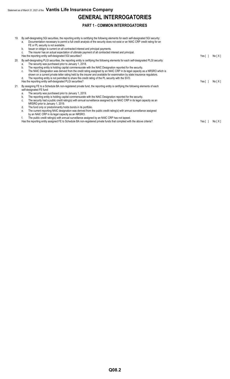## **GENERAL INTERROGATORIES**

### **PART 1 - COMMON INTERROGATORIES**

19. By self-designating 5GI securities, the reporting entity is certifying the following elements for each self-designated 5GI security: a. Documentation necessary to permit a full credit analysis of the security does not exist or an NAIC CRP credit rating for an FE or PL security is not available. b. Issuer or obligor is current on all contracted interest and principal payments. c. The insurer has an actual expectation of ultimate payment of all contracted interest and principal. Has the reporting entity self-designated 5GI securities? The result of the result of the result of the reporting entity self-designated 5GI securities? The result of the result of the result of the result of the result of 20. By self-designating PLGI securities, the reporting entity is certifying the following elements for each self-designated PLGI security: a. The security was purchased prior to January 1, 2018. b. The reporting entity is holding capital commensurate with the NAIC Designation reported for the security. c. The NAIC Designation was derived from the credit rating assigned by an NAIC CRP in its legal capacity as a NRSRO which is shown on a current private letter rating held by the insurer and available for examination by state insurance regulators. d. The reporting entity is not permitted to share this credit rating of the PL security with the SVO. Has the reporting entity self-designated PLGI securities? Yes [ ] No [ X ] 21. By assigning FE to a Schedule BA non-registered private fund, the reporting entity is certifying the following elements of each self-designated FE fund: a. The security was purchased prior to January 1, 2019. b. The reporting entity is holding capital commensurate with the NAIC Designation reported for the security. c. The security had a public credit rating(s) with annual surveillance assigned by an NAIC CRP in its legal capacity as an NRSRO prior to January 1, 2019. d. The fund only or predominantly holds bonds in its portfolio. e. The current reporting NAIC designation was derived from the public credit rating(s) with annual surveillance assigned by an NAIC CRP in its legal capacity as an NRSRO. f. The public credit rating(s) with annual surveillance assigned by an NAIC CRP has not lapsed. Has the reporting entity assigned FE to Schedule BA non-registered private funds that complied with the above criteria? Yes [ ] No [ X ]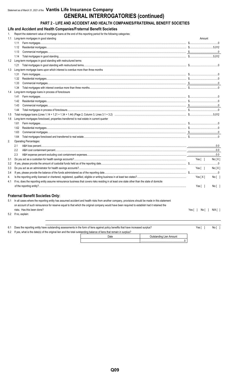## Statement as of March 31, 2021 of the Vantis Life Insurance Company **GENERAL INTERROGATORIES (continued)**

## PART 2 - LIFE AND ACCIDENT AND HEALTH COMPANIES/FRATERNAL BENEFIT SOCIETIES

Life and Accident and Health Companies/Fraternal Benefit Societies

Renort the statem eriod for the following categories:

|     | Report the statement value of mongage loans at the end of this reporting period for the lollowing categories.                                  |                        |
|-----|------------------------------------------------------------------------------------------------------------------------------------------------|------------------------|
| 1.1 | Long-term mortgages in good standing                                                                                                           | Amount                 |
|     | 1.11                                                                                                                                           |                        |
|     | 1.12                                                                                                                                           |                        |
|     | 1.13                                                                                                                                           |                        |
|     | 1.14                                                                                                                                           |                        |
| 1.2 | Long-term mortgages in good standing with restructured terms                                                                                   |                        |
|     | 1.21                                                                                                                                           |                        |
| 1.3 | Long-term mortgage loans upon which interest is overdue more than three months                                                                 |                        |
|     | 1.31                                                                                                                                           |                        |
|     | 1.32                                                                                                                                           |                        |
|     | 1.33                                                                                                                                           |                        |
|     | 1.34                                                                                                                                           |                        |
| 1.4 | Long-term mortgage loans in process of foreclosure                                                                                             |                        |
|     | 1.41                                                                                                                                           |                        |
|     | 1.42                                                                                                                                           |                        |
|     | 1.43                                                                                                                                           |                        |
|     | 1.44                                                                                                                                           |                        |
| 1.5 |                                                                                                                                                |                        |
| 1.6 | Long-term mortgages foreclosed, properties transferred to real estate in current quarter                                                       |                        |
|     | 1.61                                                                                                                                           |                        |
|     | 1.62                                                                                                                                           |                        |
|     | 1.63                                                                                                                                           |                        |
|     | 1.64                                                                                                                                           |                        |
| 2.  | <b>Operating Percentages:</b>                                                                                                                  |                        |
|     | 2.1                                                                                                                                            |                        |
|     | 2.2                                                                                                                                            |                        |
|     | 2.3                                                                                                                                            |                        |
| 3.1 |                                                                                                                                                | Yes[ ]<br>No[X]        |
| 3.2 |                                                                                                                                                |                        |
| 3.3 |                                                                                                                                                | Yes[ ]<br>No[X]        |
| 3.4 |                                                                                                                                                |                        |
| 4.  |                                                                                                                                                | Yes [ X ]<br>$No[$ ]   |
| 4.1 | If no, does the reporting entity assume reinsurance business that covers risks residing in at least one state other than the state of domicile |                        |
|     |                                                                                                                                                | $No[$ ]<br>Yes $[ \ ]$ |
|     |                                                                                                                                                |                        |
|     |                                                                                                                                                |                        |

#### **Fraternal Benefit Societies Only:**

5.1 In all cases where the reporting entity has assumed accident and health risks from another company, provisions should be made in this statement on account of such reinsurance for reserve equal to that which the original company would have been required to establish had it retained the risks. Has this been done?

5.2 If no, explain:

 $6.1$  $6.2\,$ 

| Does the reporting entity have outstanding assessments in the form of liens against policy benefits that have increased surplus? | Yes I | Noll |
|----------------------------------------------------------------------------------------------------------------------------------|-------|------|
| If yes, what is the date(s) of the original lien and the total outstanding balance of liens that remain in surplus?              |       |      |

| ⊶standing Lien Amount |
|-----------------------|
|                       |

 $Yes[ ] No[ ] N0[ ] N/A[ ]$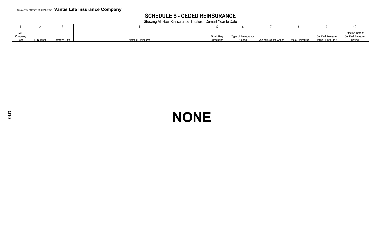## **SCHEDULE S - CEDED REINSURANCE**

Showing All New Reinsurance Treaties - Current Year to Date

| <b>NAIC</b> |          |                       |                   |              |                     |                        |                   |                      | Effective Date of          |
|-------------|----------|-----------------------|-------------------|--------------|---------------------|------------------------|-------------------|----------------------|----------------------------|
| Company     |          |                       |                   | Domiciliar   | Type of Reinsurance |                        |                   | Certified Reinsurer  | <b>Certified Reinsurer</b> |
| Code        | ) Number | <b>Effective Date</b> | Name of Reinsurer | Jurisdiction | Ceded               | Type of Business Ceded | Type of Reinsurer | Rating (1 through 6) | Rating                     |

## **NONE**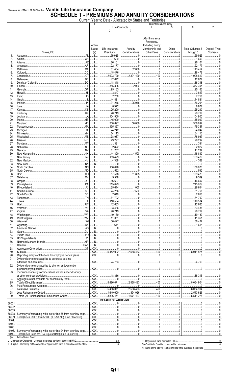## Statement as of March 31, 2021 of the **Vantis Life Insurance Company**<br>**SCHEDULE T - PREMIUMS AND ANNUITY CONSIDERATIONS**

|                  |                                                                                       |                                | Current Year to Date - Allocated by States and Territories |                                |                                                                                       |                         |                                     |                           |
|------------------|---------------------------------------------------------------------------------------|--------------------------------|------------------------------------------------------------|--------------------------------|---------------------------------------------------------------------------------------|-------------------------|-------------------------------------|---------------------------|
|                  |                                                                                       |                                |                                                            | Life Contracts                 | Direct Business Only                                                                  | 5                       | 6                                   |                           |
|                  | States, Etc.                                                                          | Active<br><b>Status</b><br>(a) | 2<br>Life Insurance<br>Premiums                            | 3<br>Annuity<br>Considerations | A&H Insurance<br>Premiums.<br><b>Including Policy</b><br>Membership and<br>Other Fees | Other<br>Considerations | <b>Total Columns 2</b><br>through 5 | Deposit-Type<br>Contracts |
| 1.               | .AL<br>Alabama                                                                        |                                | .59,925                                                    |                                | .0                                                                                    |                         | .59,925                             |                           |
| 2.<br>3.         | .AK<br>Alaska.<br>AZ<br>Arizona                                                       |                                | , 1,609<br>.26,101                                         | . 0                            |                                                                                       |                         | 1,609<br>.26,101                    |                           |
| 4.               | .AR<br>Arkansas.                                                                      |                                | .22,177                                                    | $\dots 0$                      |                                                                                       |                         | .22,177                             |                           |
| 5.               | CA<br>California                                                                      |                                | .81,454                                                    | .32,000                        |                                                                                       |                         | .113,454                            |                           |
| 6.               | .CO<br>Colorado                                                                       |                                | .18,476                                                    | 0                              |                                                                                       |                         | 18,476                              |                           |
| 7.<br>8.         | Connecticut<br>.DE<br>Delaware.                                                       |                                | .2,603,720<br>.42,672                                      | $\ldots$ 2,394,490<br>0        | 400<br>. 0                                                                            |                         | .4,998,610<br>42,672                |                           |
| 9.               | .DC                                                                                   |                                | 18,348                                                     | $\ldots 0$                     |                                                                                       |                         | 18,348                              |                           |
| 10.              | FL<br>Florida.                                                                        |                                | 385,305                                                    | .2,000                         |                                                                                       |                         | .387,305                            |                           |
| 11.              | GA<br>Georgia                                                                         |                                | .95,163                                                    | . 0                            |                                                                                       |                         | 95,163                              |                           |
| 12.<br>13.       | Hawaii<br>.ID<br>Idaho.                                                               |                                | .3,847<br>.7,758                                           | . 0                            |                                                                                       |                         | .3,847<br>.7,758                    |                           |
| 14.              | Illinois.                                                                             |                                | .44,881                                                    | . 0                            |                                                                                       |                         | .44,881                             |                           |
| 15.              | Indiana                                                                               |                                | .31,246                                                    | .25.048                        |                                                                                       |                         | .56,294                             |                           |
| 16.              | lowa.<br>.KS<br>Kansas                                                                |                                | .8,972                                                     | . 0                            |                                                                                       |                         | .8,972<br>.25,290                   |                           |
| 17.<br>18.       |                                                                                       |                                | .25,290<br>.20,719                                         |                                |                                                                                       |                         | .20,719                             |                           |
| 19.              | LA<br>Louisiana                                                                       |                                | .104,900                                                   | $\ldots 0$                     |                                                                                       |                         | 104,900                             |                           |
| 20.              | Maine.                                                                                |                                | .45,090                                                    | 0                              |                                                                                       |                         | 45,090                              |                           |
| 21.<br>22.       | MD<br>Maryland<br>.M                                                                  |                                | .308.897<br>.175,357                                       | .50.000<br>$\ldots 0$          |                                                                                       |                         | .358,897<br>175,357                 |                           |
| 23.              |                                                                                       |                                | .24,242                                                    |                                |                                                                                       |                         | 24,242                              |                           |
| 24.              | Minnesota.                                                                            |                                | .64,113                                                    |                                |                                                                                       |                         | .64,113                             |                           |
| 25.              | .MS<br>Mississippi.                                                                   |                                | .78,937                                                    |                                |                                                                                       |                         | .78,937                             |                           |
| 26.<br>27.       | .MO<br>.M.<br>Montana                                                                 |                                | .29,297<br>391                                             |                                |                                                                                       |                         | .29,297<br>391                      |                           |
| 28.              | .NE                                                                                   |                                | .2,822                                                     | 0                              |                                                                                       |                         | .2,822                              |                           |
| 29.              | NV<br>Nevada                                                                          |                                | 11,237                                                     | .0                             |                                                                                       |                         | 11,237                              |                           |
| 30.              | New Hampshire                                                                         |                                | .44,390                                                    | .4,500                         |                                                                                       |                         | .48,890                             |                           |
| 31.<br>32.       |                                                                                       |                                | 153,429<br>.4,368                                          | $\Omega$                       |                                                                                       |                         | 153,429<br>4,368                    |                           |
| 33.              | NY<br>New York                                                                        | .N.                            |                                                            |                                |                                                                                       |                         |                                     |                           |
| 34.              |                                                                                       |                                | .106,678                                                   | $\dots 0$                      |                                                                                       |                         | 106,678                             |                           |
| 35.              | HO.                                                                                   |                                | 592                                                        | . 0<br>.51,895                 |                                                                                       |                         | .592<br>109,473                     |                           |
| 36.<br>37.       | Ohio.<br>OK<br>Oklahoma                                                               |                                | .57,578<br>9,549                                           | $\Omega$                       |                                                                                       |                         | 9,549                               |                           |
| 38.              | Oregon                                                                                |                                | 16,607                                                     |                                |                                                                                       | . 0                     | 16,607                              |                           |
| 39.              |                                                                                       |                                | 215,629                                                    |                                |                                                                                       | 0                       | 215,629                             |                           |
| 40.              | Rhode Island.                                                                         |                                | .25,644                                                    | .1,000                         |                                                                                       |                         | 26,644                              |                           |
| 41.<br>42.       |                                                                                       |                                | 74,256<br>2,610                                            | .7,500<br>.<br>0               |                                                                                       | . 0<br>0                | 81,756<br>2,610                     |                           |
| 43.              | TN                                                                                    |                                | .64,792                                                    |                                |                                                                                       |                         | 64.792                              |                           |
| 44.              | $T_{\text{max}}$                                                                      | L                              | .110,534                                                   |                                |                                                                                       | $\dots 0$               | 110,534                             |                           |
| 45.              |                                                                                       |                                | 12,663                                                     | $\overline{0}$                 | . 0                                                                                   | $\ldots 0$<br>0         | 12,663                              |                           |
| 46.<br>47.       |                                                                                       | L                              | .33,486<br>.98,719                                         |                                |                                                                                       |                         | 33,486<br>98.719                    |                           |
| 48.              |                                                                                       | L                              | 19,130                                                     |                                |                                                                                       | . 0                     | 19,130                              |                           |
| 49.              |                                                                                       | L                              | .11,351                                                    |                                |                                                                                       |                         | 11,351                              |                           |
| 50.              |                                                                                       | . L<br>L                       | .36,427<br>.1.614                                          | $\ldots 0$                     |                                                                                       | 0                       | 36,427<br>1.614                     |                           |
| 51.<br>52.       |                                                                                       | N                              | $\dots\dots0$                                              |                                |                                                                                       |                         | 0                                   |                           |
| 53.              |                                                                                       | N                              |                                                            |                                |                                                                                       |                         |                                     |                           |
| 54.              |                                                                                       | N                              |                                                            | 0                              |                                                                                       | 0                       |                                     |                           |
| 55.<br>56.       |                                                                                       | N<br>N                         | . 0                                                        | $\dots$ 0                      |                                                                                       | $\dots 0$               | . 0                                 |                           |
| 57.              |                                                                                       | N                              | $\dots$ 0                                                  | $\overline{0}$                 |                                                                                       | $\ldots 0$              |                                     |                           |
| 58.              |                                                                                       | XXX.                           | $\dots 0$                                                  | 0                              | . 0                                                                                   | 0                       | . 0                                 |                           |
| 59.<br>90.       | Reporting entity contributions for employee benefit plans                             | $.$ $XXX$<br>$.$ $XXX$         | .5,442,992                                                 | 2,568,433<br>$\ldots 0$        | 400<br>. 0                                                                            | $\Omega$<br>$\ldots 0$  | .8.011.825<br>$\dots$ 0             |                           |
| 91.              | Dividends or refunds applied to purchase paid-up                                      |                                |                                                            |                                |                                                                                       |                         |                                     |                           |
|                  | .                                                                                     | .XXX.                          | 24,763                                                     | $\overline{0}$                 |                                                                                       | $\ldots 0$              | 24.763                              |                           |
| 92.              | Dividends or refunds applied to shorten endowment or                                  | .XXX.                          |                                                            | $\overline{0}$                 |                                                                                       | $\ldots 0$              |                                     |                           |
| 93.              | premium paying period<br>Premium or annuity considerations waived under disability    |                                | . 0                                                        |                                |                                                                                       |                         | $\ldots 0$                          |                           |
|                  |                                                                                       | .XXX.                          | 18,316                                                     |                                |                                                                                       |                         | 18.316                              |                           |
| 94.              | Aggregate other amounts not allocable by State                                        | XXX.                           | . 0                                                        | 0                              | $\Omega$ .                                                                            |                         |                                     |                           |
| 95.              | Totals (Direct Business)                                                              | $XXX$                          | .5,486,071                                                 | 2,568,433                      | .400<br>$\dots\dots0$                                                                 |                         | 8,054,904<br>.                      |                           |
| 96.<br>97.       | Totals (All Business)                                                                 | XXX.<br>$\overline{.XXX}$      | 0<br>.5,486,071                                            | 0<br>2,568,433                 | .400                                                                                  | 0<br>. 0<br>.           | 8.054.904                           |                           |
| 98.              |                                                                                       | .XXX.                          | 1,649,600                                                  | .894,026                       | 0                                                                                     | $0_{\cdots}$            | 2,543,626                           |                           |
| 99.              | Totals (All Business) less Reinsurance Ceded                                          | .XXX.                          | .3,836,471                                                 | 1,674,407                      | .400                                                                                  | $\Omega$ .              | .5.511.278                          |                           |
|                  |                                                                                       |                                | <b>DETAILS OF WRITE-INS</b>                                |                                |                                                                                       |                         |                                     |                           |
| 58001.<br>58002. |                                                                                       | XXX.<br>.XXX.                  |                                                            |                                |                                                                                       |                         |                                     |                           |
| 58003.           |                                                                                       | .XXX.                          |                                                            |                                |                                                                                       |                         |                                     |                           |
|                  | 58998. Summary of remaining write-ins for line 58 from overflow page                  | .XXX.                          |                                                            |                                |                                                                                       |                         |                                     |                           |
| 9401.            | 58999. Total (Lines 58001 thru 58003 plus 58998) (Line 58 above)                      | .XXX.<br>XXX.                  | .0                                                         | $\Omega$                       | .0                                                                                    |                         |                                     |                           |
| 9402.            |                                                                                       | .XXX.                          |                                                            |                                |                                                                                       |                         |                                     |                           |
| 9403.            |                                                                                       | .XXX.                          |                                                            |                                |                                                                                       |                         |                                     |                           |
|                  | 9498. Summary of remaining write-ins for line 94 from overflow page                   | .XXX.                          |                                                            | $\Omega$                       |                                                                                       |                         |                                     |                           |
| 9499.<br>(a)     | Total (Lines 9401 thru 9403 plus 9498) (Line 94 above).<br><b>Active Status Count</b> | .XXX.                          | $\Omega$                                                   | $\Omega$                       |                                                                                       |                         |                                     |                           |
|                  |                                                                                       |                                | 50                                                         |                                |                                                                                       |                         |                                     |                           |

. . . . . . . . . . . . . .

 $\begin{array}{c}\n0 \\
7\n\end{array}$ 

 $\overline{0}$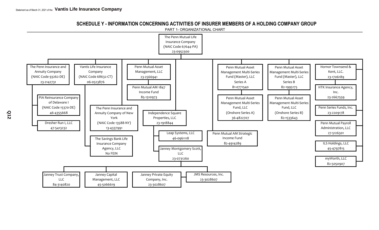SCHEDULE Y - INFORMATION CONCERNING ACTIVITIES OF INSURER MEMBERS OF A HOLDING COMPANY GROUP

PART 1- ORGANIZATIONAL CHART

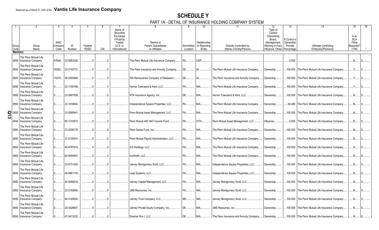## **SCHEDULE Y**

PART 1A - DETAIL OF INSURANCE HOLDING COMPANY SYSTEM

| Group<br>Code  | Group<br>Name                                                            | <b>NAIC</b><br>Company<br>Code | ID<br>Number      | Federal<br><b>RSSD</b> | <b>CIK</b> | Name of<br>Securities<br>Exchange<br>if Publicly<br>Traded<br>(U.S. or<br>International) | Names of<br>Parent, Subsidiaries<br>or Affiliates | Domiciliary<br>Location | 10<br>Relationship<br>to Reporting<br>Entity | 11<br>Directly Controlled by<br>(Name of Entity/Person) | 12<br>Type of<br>Control<br>(Ownership<br>Board,<br>Management.<br>Attorney-in-Fact.<br>Influence, Other) Percentage | 13<br>If Control is<br>Ownership<br>Provide | 14<br><b>Ultimate Controlling</b><br>Entity(ies)/Person(s) | 15<br>Is an<br><b>SCA</b><br>Filing<br>Required?<br>(Y/N) |
|----------------|--------------------------------------------------------------------------|--------------------------------|-------------------|------------------------|------------|------------------------------------------------------------------------------------------|---------------------------------------------------|-------------------------|----------------------------------------------|---------------------------------------------------------|----------------------------------------------------------------------------------------------------------------------|---------------------------------------------|------------------------------------------------------------|-----------------------------------------------------------|
| <b>Members</b> |                                                                          |                                |                   |                        |            |                                                                                          |                                                   |                         |                                              |                                                         |                                                                                                                      |                                             |                                                            |                                                           |
|                | The Penn Mutual Life<br>0850   Insurance Company<br>The Penn Mutual Life |                                | 67644 23-0952300. |                        |            |                                                                                          | The Penn Mutual Life Insurance Company.           | PA.                     | UDP.                                         |                                                         |                                                                                                                      | .0.000                                      |                                                            | N                                                         |
|                | 0850   Insurance Company                                                 |                                | 93262 23-2142731. |                        |            |                                                                                          | The Penn Insurance and Annuity Company            | DE.                     |                                              | The Penn Mutual Life Insurance Company.                 | Ownership.                                                                                                           |                                             | .100.000 The Penn Mutual Life Insurance Company            | $\mathsf{v}$                                              |
|                | The Penn Mutual Life<br>0850   Insurance Company                         | 15370                          | 46-4355668.       |                        |            |                                                                                          | PIA Reinsurance Company of Delaware I.            | DE.                     |                                              | The Penn Insurance and Annuity Company                  | Ownership                                                                                                            |                                             | 100.000 The Penn Mutual Life Insurance Company.            | .Y.                                                       |
|                | The Penn Mutual Life<br>0850   Insurance Company                         |                                | 23-1706189.       |                        |            |                                                                                          | Hornor Townsend & Kent, LLC.                      | PA                      | NIA                                          | The Penn Mutual Life Insurance Company.                 | Ownership.                                                                                                           |                                             | .100.000 The Penn Mutual Life Insurance Company.           |                                                           |
|                | The Penn Mutual Life<br>0850   Insurance Company                         |                                | 23-2667559.       |                        |            |                                                                                          | HTK Insurance Agency, Inc.                        | DE.                     | NIA                                          | Hornor Townsend & Kent, LLC.                            | Ownership.                                                                                                           |                                             | .100.000 The Penn Mutual Life Insurance Company            | $N$ .                                                     |
|                | The Penn Mutual Life<br>0850   Insurance Company                         |                                | 23-1918844.       |                        |            |                                                                                          | Independence Square Properties, LLC.              | PA.                     | NIA.                                         | The Penn Mutual Life Insurance Company.                 | Ownership.                                                                                                           |                                             | .94.480 The Penn Mutual Life Insurance Company.            | .N.                                                       |
|                | The Penn Mutual Life<br>0850 Insurance Company<br>The Penn Mutual Life   |                                | 23-2566941.       |                        |            |                                                                                          | Penn Mutual Asset Management, LLC.                | PA                      | NIA.                                         | The Penn Mutual Life Insurance Company.                 | Ownership.                                                                                                           |                                             | 100.000 The Penn Mutual Life Insurance Company             | N                                                         |
|                | The Penn Mutual Life<br>0850   Insurance Company                         |                                | 85-1310973.       |                        |            |                                                                                          | Penn Mutual AM 1847 Income Fund.                  | PA.                     | OTH.                                         | Penn Mutual Asset Management, LLC.                      | Influence.                                                                                                           |                                             | 0.000 The Penn Mutual Life Insurance Company               | .N                                                        |
|                | The Penn Mutual Life<br>0850   Insurance Company                         |                                | 23-2209178.       |                        |            |                                                                                          | Penn Series Fund, Inc.                            | PA.                     | NIA.                                         | The Penn Mutual Life Insurance Company.                 | Ownership.                                                                                                           |                                             | .100.000 The Penn Mutual Life Insurance Company.           | .N.                                                       |
|                | The Penn Mutual Life<br>0850   Insurance Company                         |                                | 27-5126301.       |                        |            |                                                                                          | Penn Mutual Payroll Administration, LLC.          | PA.                     | NIA.                                         | The Penn Mutual Life Insurance Company.                 | Ownership.                                                                                                           |                                             | .100.000 The Penn Mutual Life Insurance Company.           | N                                                         |
|                | The Penn Mutual Life<br>0850   Insurance Company                         |                                | 45-4797815.       |                        |            |                                                                                          | ILS Holdinas. LLC.                                | PA.                     | NIA.                                         | The Penn Mutual Life Insurance Company.                 | Ownership.                                                                                                           |                                             | 100.000 The Penn Mutual Life Insurance Company             | .N                                                        |
|                | The Penn Mutual Life<br>0850   Insurance Company                         |                                | 82-5050907.       |                        |            |                                                                                          | mvWorth. LLC                                      | PA.                     | NIA                                          | The Penn Mutual Life Insurance Company.                 | Ownership.                                                                                                           |                                             | .100.000 The Penn Mutual Life Insurance Company.           | .N.                                                       |
|                | The Penn Mutual Life<br>0850   Insurance Company                         |                                | 23-0731260.       |                        |            |                                                                                          | Janney Montgomery Scott, LLC.                     | PA.                     | NIA.                                         | Independence Square Properties, LLC.                    | Ownership.                                                                                                           | .100.000                                    | The Penn Mutual Life Insurance Company                     | .N.                                                       |
|                | The Penn Mutual Life<br>0850   Insurance Company                         |                                | 46-0961118.       |                        |            |                                                                                          | Leap Systems, LLC.                                | PA.                     |                                              | Independence Square Properties, LLC.                    | Ownership.                                                                                                           |                                             | 100.000 The Penn Mutual Life Insurance Company             | N.                                                        |
|                | The Penn Mutual Life<br>0850   Insurance Company                         |                                | 45-5066619.       |                        |            |                                                                                          | Janney Capital Management, LLC.                   | PA.                     | NIA                                          | Janney Montgomery Scott, LLC.                           | Ownership.                                                                                                           |                                             | .100.000 The Penn Mutual Life Insurance Company.           | .N.                                                       |
|                | The Penn Mutual Life<br>0850   Insurance Company                         |                                | 23-2159959.       |                        |            |                                                                                          | <b>JMS Resources, Inc.</b>                        | PA.                     | NIA                                          | Janney Montgomery Scott, LLC.                           | Ownership.                                                                                                           | .100.000                                    | The Penn Mutual Life Insurance Company                     | N                                                         |
|                | The Penn Mutual Life<br>0850   Insurance Company                         |                                | 84-3140820.       |                        |            |                                                                                          | Janney Trust Company, LLC.                        | <b>NH</b>               |                                              | Janney Montgomery Scott, LLC.                           | Ownership.                                                                                                           |                                             | 100.000 The Penn Mutual Life Insurance Company             | $N$ .                                                     |
|                | The Penn Mutual Life<br>0850   Insurance Company                         |                                | 23-3028607.       |                        |            |                                                                                          | Janney Private Equity Company, Inc.               | DE.                     | NIA                                          | <b>JMS Resources, Inc.</b>                              | Ownership.                                                                                                           |                                             | .100.000 The Penn Mutual Life Insurance Company.           | $N$ .                                                     |
|                | The Penn Mutual Life<br>0850   Insurance Company                         |                                | 47-5413232.       |                        |            |                                                                                          | Dresher Run I, LLC.                               | DE.                     |                                              | The Penn Insurance and Annuity Company                  | Ownership.                                                                                                           |                                             | .100.000 The Penn Mutual Life Insurance Company            | N                                                         |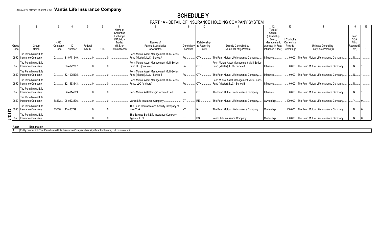## **SCHEDULE Y**

#### PART 1A - DETAIL OF INSURANCE HOLDING COMPANY SYSTEM

|                 |                                                                        |                        |             |             |     | Name of<br>Securities |                                                       |             |                              |                                           | Type of<br>Control               |                      |                                                  |                     |  |
|-----------------|------------------------------------------------------------------------|------------------------|-------------|-------------|-----|-----------------------|-------------------------------------------------------|-------------|------------------------------|-------------------------------------------|----------------------------------|----------------------|--------------------------------------------------|---------------------|--|
|                 |                                                                        |                        |             |             |     | Exchange              |                                                       |             |                              |                                           | (Ownership                       |                      |                                                  | Is an               |  |
|                 |                                                                        |                        |             |             |     | if Publicly           |                                                       |             |                              |                                           | Board.                           | If Control is        |                                                  | <b>SCA</b>          |  |
| Group           | Group                                                                  | <b>NAIC</b><br>Company | ID          | Federal     |     | Traded<br>$(U.S.$ or  | Names of<br>Parent. Subsidiaries                      | Domiciliary | Relationship<br>to Reporting | Directly Controlled by                    | Management.<br>Attorney-in-Fact, | Ownership<br>Provide | <b>Ultimate Controlling</b>                      | Filing<br>Required? |  |
| Code            | Name                                                                   | Code                   | Number      | <b>RSSD</b> | CIK | International         | or Affiliates                                         | Location    | Entity                       | (Name of Entity/Person)                   | Influence, Other) Percentage     |                      | Entity(ies)/Person(s)                            | (Y/N)               |  |
|                 | The Penn Mutual Life                                                   |                        |             |             |     |                       | Penn Mutual Asset Management Multi-Series             |             |                              |                                           |                                  |                      |                                                  |                     |  |
|                 | 0850   Insurance Company                                               |                        | 81-0771540. |             |     |                       | Fund (Master), LLC - Series A                         |             | OTH.                         | The Penn Mutual Life Insurance Company    | Influence.                       |                      | 0.000 The Penn Mutual Life Insurance Company     |                     |  |
|                 | The Penn Mutual Life                                                   |                        |             |             |     |                       | Penn Mutual Asset Management Multi-Series             |             |                              | Penn Mutual Asset Management Multi-Series |                                  |                      |                                                  |                     |  |
|                 | 0850   Insurance Company                                               |                        | 36-4822707. |             |     |                       | Fund LLC (onshore)                                    |             | OTH.                         | Fund (Master), LLC - Series A             | Influence.                       |                      | 0.000 The Penn Mutual Life Insurance Company     |                     |  |
|                 | The Penn Mutual Life                                                   |                        |             |             |     |                       | Penn Mutual Asset Management Multi-Series             |             |                              |                                           |                                  |                      |                                                  |                     |  |
|                 | 0850   Insurance Company                                               |                        | 82-1995175. |             |     |                       | Fund (Master), LLC - Series B                         |             | <b>OTH</b>                   | The Penn Mutual Life Insurance Company    | Influence                        |                      | 0.000 The Penn Mutual Life Insurance Company     |                     |  |
|                 | The Penn Mutual Life                                                   |                        |             |             |     |                       | Penn Mutual Asset Management Multi-Series             |             |                              | Penn Mutual Asset Management Multi-Series |                                  |                      |                                                  |                     |  |
|                 | 0850   Insurance Company                                               |                        | 82-1533643. |             |     |                       | Fund, LLC (onshore)                                   |             | OTH                          | Fund (Master), LLC - Series B             | Influence.                       |                      | 0.000 The Penn Mutual Life Insurance Company     |                     |  |
|                 | The Penn Mutual Life                                                   |                        |             |             |     |                       |                                                       |             |                              |                                           |                                  |                      |                                                  |                     |  |
|                 | 0850   Insurance Company                                               |                        | 82-4914289. |             |     |                       | Penn Mutual AM Strategic Income Fund.                 |             | OTH.                         | The Penn Mutual Life Insurance Company    | Influence                        |                      | 0.000 The Penn Mutual Life Insurance Company.    |                     |  |
|                 | The Penn Mutual Life                                                   |                        |             |             |     |                       |                                                       |             |                              |                                           |                                  |                      |                                                  |                     |  |
|                 | 0850   Insurance Company                                               | 68632                  | 06-0523876. |             |     |                       | Vantis Life Insurance Company.                        |             |                              | The Penn Mutual Life Insurance Company    | Ownership                        |                      | 100.000 The Penn Mutual Life Insurance Company   |                     |  |
|                 | The Penn Mutual Life                                                   | 13588                  | 13-4337991  |             |     |                       | The Penn Insurance and Annuity Company of<br>New York |             |                              | The Penn Mutual Life Insurance Company.   |                                  |                      | 100.000 The Penn Mutual Life Insurance Company.  |                     |  |
| $\log^{0.0850}$ | Insurance Company                                                      |                        |             |             |     |                       |                                                       |             |                              |                                           | Ownership                        |                      |                                                  |                     |  |
|                 | The Penn Mutual Life<br>0850 Insurance Company<br>The Penn Mutual Life |                        |             |             |     |                       | The Savings Bank Life Insurance Company               |             |                              | Vantis Life Insurance Company.            | Ownership                        |                      | .100.000 The Penn Mutual Life Insurance Company. |                     |  |
|                 |                                                                        |                        |             |             |     |                       | Agency, LLC                                           |             |                              |                                           |                                  |                      |                                                  |                     |  |

#### **Asteri Explanation**

1 Entity over which The Penn Mutual Life Insurance Company has significant influence, but no ownership.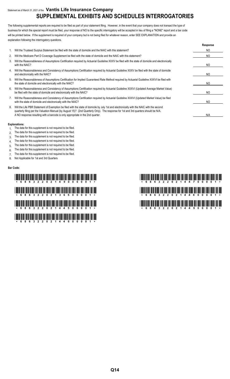## Statement as of March 31, 2021 of the **Vantis Life Insurance Company SUPPLEMENTAL EXHIBITS AND SCHEDULES INTERROGATORIES**

The following supplemental reports are required to be filed as part of your statement filing. However, in the event that your company does not transact the type of business for which the special report must be filed, your response of NO to the specific interrogatory will be accepted in lieu of filing a "NONE" report and a bar code will be printed below. If the supplement is required of your company but is not being filed for whatever reason, enter SEE EXPLANATION and provide an explanation following the interrogatory questions.

|    |                                                                                                                                                                                                                                                                                                                                                                     | Response       |
|----|---------------------------------------------------------------------------------------------------------------------------------------------------------------------------------------------------------------------------------------------------------------------------------------------------------------------------------------------------------------------|----------------|
|    | Will the Trusteed Surplus Statement be filed with the state of domicile and the NAIC with this statement?                                                                                                                                                                                                                                                           | NO.            |
| 2. | Will the Medicare Part D Coverage Supplement be filed with the state of domicile and the NAIC with this statement?                                                                                                                                                                                                                                                  | NO.            |
| 3. | Will the Reasonableness of Assumptions Certification required by Actuarial Guideline XXXV be filed with the state of domicile and electronically<br>with the NAIC?                                                                                                                                                                                                  | N <sub>O</sub> |
| 4. | Will the Reasonableness and Consistency of Assumptions Certification required by Actuarial Guideline XXXV be filed with the state of domicile<br>and electronically with the NAIC?                                                                                                                                                                                  | NO.            |
| 5. | Will the Reasonableness of Assumptions Certification for Implied Guaranteed Rate Method required by Actuarial Guideline XXXVI be filed with<br>the state of domicile and electronically with the NAIC?                                                                                                                                                              | NO.            |
| 6. | Will the Reasonableness and Consistency of Assumptions Certification required by Actuarial Guideline XXXVI (Updated Average Market Value)<br>be filed with the state of domicile and electronically with the NAIC?                                                                                                                                                  | N <sub>O</sub> |
| 7. | Will the Reasonableness and Consistency of Assumptions Certification required by Actuarial Guideline XXXVI (Updated Market Value) be filed<br>with the state of domicile and electronically with the NAIC?                                                                                                                                                          | NO.            |
| 8. | Will the Life PBR Statement of Exemption be filed with the state of domicile by July 1st and electronically with the NAIC with the second<br>quarterly filing per the Valuation Manual (by August 15)? (2nd Quarterly Only). The response for 1st and 3rd quarters should be N/A.<br>A NO response resulting with a barcode is only appropriate in the 2nd quarter. | N/A            |

#### **Explanations:**

- 1. The data for this supplement is not required to be filed.
- 2. The data for this supplement is not required to be filed.
- 3. The data for this supplement is not required to be filed.
- 4. The data for this supplement is not required to be filed.
- 5. The data for this supplement is not required to be filed.
- 6. The data for this supplement is not required to be filed.
- 7. The data for this supplement is not required to be filed.
- 8. Not Applicable for 1st and 3rd Quarters

#### **Bar Code:**

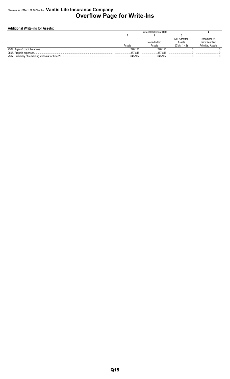### Statement as of March 31, 2021 of the **Vantis Life Insurance Company Overflow Page for Write-Ins**

#### **Additional Write-ins for Assets:**

|                                                  |          | Current Statement Date |                     |                        |
|--------------------------------------------------|----------|------------------------|---------------------|------------------------|
|                                                  |          |                        |                     |                        |
|                                                  |          |                        | <b>Net Admitted</b> | December 31            |
|                                                  |          | Nonadmitted            | Assets              | Prior Year Net         |
|                                                  | Assets   | Assets                 | $(Cols. 1 - 2)$     | <b>Admitted Assets</b> |
| 2504. Agents' credit balances                    | 278.121  | 278.12                 |                     | .                      |
| 2505. Prepaid expenses                           | .367.846 | 367.846                |                     |                        |
| 2597. Summary of remaining write-ins for Line 25 | 645.967  | .645.967               |                     |                        |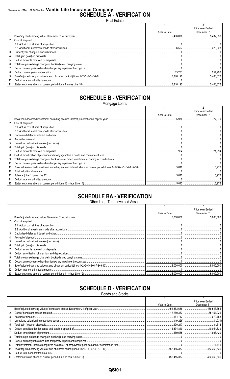## Statement as of March 31, 2021 of the Vantis Life Insurance Company<br>SCHEDULE A - VERIFICATION

Real Estate

|     |                      |              | Prior Year Ended |
|-----|----------------------|--------------|------------------|
|     |                      | Year to Date | December 31      |
|     |                      | .5.406.876   | 5.437.838        |
|     | 2. Cost of acquired: |              |                  |
|     |                      |              |                  |
|     |                      |              |                  |
| 3.  |                      |              |                  |
| 4.  |                      |              |                  |
| 5.  |                      |              |                  |
| 6.  |                      |              |                  |
|     |                      |              |                  |
| 8.  |                      |              |                  |
| 9.  |                      |              |                  |
| 10. |                      |              |                  |
|     |                      |              |                  |

## **SCHEDULE B - VERIFICATION**

Mortgage Loans

|     |                   |              | <b>Prior Year Ended</b> |
|-----|-------------------|--------------|-------------------------|
|     |                   | Year to Date | December 31             |
|     |                   | .5,976       | 27.970                  |
| 2.  | Cost of acquired: |              |                         |
|     |                   |              |                         |
|     |                   |              |                         |
| 3.  |                   |              |                         |
|     |                   |              |                         |
| 5.  |                   |              |                         |
| 6.  |                   |              |                         |
|     |                   |              |                         |
| 8.  |                   |              |                         |
| 9.  |                   |              |                         |
| 10. |                   |              |                         |
| 11. |                   |              |                         |
| 12. |                   |              |                         |
| 13. |                   | .5.012       |                         |
| 14. |                   |              |                         |
| 15. |                   | .5.012       |                         |

## **SCHEDULE BA - VERIFICATION**

Other Long-Term Invested Assets

|     |                   |              | Prior Year Ended |
|-----|-------------------|--------------|------------------|
|     |                   | Year to Date | December 31      |
|     |                   |              |                  |
| 2.  | Cost of acquired: |              |                  |
|     |                   |              |                  |
|     |                   |              |                  |
| 3.  |                   |              |                  |
| 4.  |                   |              |                  |
| 5.  |                   |              |                  |
| 6.  |                   |              |                  |
|     |                   |              |                  |
| 8.  |                   |              |                  |
| 9.  |                   |              |                  |
| 10. |                   |              |                  |
| 11. |                   |              |                  |
| 12. |                   |              |                  |
| 13. |                   |              |                  |

## **SCHEDULE D - VERIFICATION**

**Bonds and Stocks** 

|     |              | Prior Year Ended |
|-----|--------------|------------------|
|     | Year to Date | December 31      |
|     |              |                  |
| 2.  |              |                  |
| 3.  |              |                  |
| 4.  |              |                  |
| 5.  |              |                  |
| 6.  |              |                  |
| 7.  |              |                  |
| 8.  |              |                  |
| 9.  |              |                  |
| 10. |              |                  |
|     |              |                  |
| 12. |              |                  |
|     |              |                  |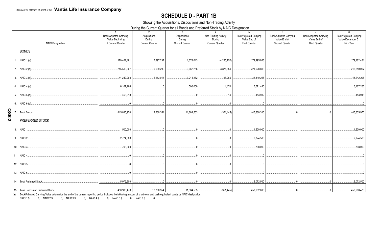## **SCHEDULE D - PART 1B**

Showing the Acquisitions, Dispositions and Non-Trading Activity

During the Current Quarter for all Bonds and Preferred Stock by NAIC Designation

|              | <b>NAIC Designation</b>                                                                                                                                                                                                                                                                                                                                                                    | $\overline{1}$<br>Book/Adjusted Carrying<br>Value Beginning<br>of Current Quarter | 2<br>Acquisitions<br>During<br><b>Current Quarter</b> | $\mathbf{3}$<br><b>Dispositions</b><br>During<br><b>Current Quarter</b> | $\overline{4}$<br>Non-Trading Activity<br>During<br><b>Current Quarter</b> | 5 <sup>5</sup><br>Book/Adjusted Carrying<br>Value End of<br><b>First Quarter</b> | 6<br>Book/Adjusted Carrying<br>Value End of<br>Second Quarter | $\overline{7}$<br>Book/Adjusted Carrying<br>Value End of<br><b>Third Quarter</b> | 8<br>Book/Adjusted Carrying<br>Value December 31<br>Prior Year |
|--------------|--------------------------------------------------------------------------------------------------------------------------------------------------------------------------------------------------------------------------------------------------------------------------------------------------------------------------------------------------------------------------------------------|-----------------------------------------------------------------------------------|-------------------------------------------------------|-------------------------------------------------------------------------|----------------------------------------------------------------------------|----------------------------------------------------------------------------------|---------------------------------------------------------------|----------------------------------------------------------------------------------|----------------------------------------------------------------|
|              | <b>BONDS</b>                                                                                                                                                                                                                                                                                                                                                                               |                                                                                   |                                                       |                                                                         |                                                                            |                                                                                  |                                                               |                                                                                  |                                                                |
|              | 1. NAIC 1 (a)                                                                                                                                                                                                                                                                                                                                                                              | 179,462,481                                                                       | .5,397,237                                            |                                                                         | (4,285,752)<br>.                                                           | 179,495,923                                                                      |                                                               |                                                                                  | 179,462,481                                                    |
|              |                                                                                                                                                                                                                                                                                                                                                                                            | 215,510,007                                                                       | .5,609,200                                            | $\ldots$ 3,062,258                                                      | 3,871,854                                                                  | 221,928,803                                                                      |                                                               |                                                                                  | 215,510,007                                                    |
|              |                                                                                                                                                                                                                                                                                                                                                                                            | 44,242,298                                                                        | 1.253.917                                             |                                                                         | 58.265                                                                     | 38,310,218                                                                       |                                                               |                                                                                  | 44,242,298                                                     |
|              |                                                                                                                                                                                                                                                                                                                                                                                            | 6,167,266                                                                         | $\overline{0}$                                        | 500,000                                                                 |                                                                            | 5,671,440                                                                        |                                                               |                                                                                  | .6,167,266                                                     |
|              |                                                                                                                                                                                                                                                                                                                                                                                            | 453,918                                                                           |                                                       | 0                                                                       |                                                                            | 453,932                                                                          |                                                               |                                                                                  | 453,918                                                        |
|              |                                                                                                                                                                                                                                                                                                                                                                                            |                                                                                   | $\sim$ 0                                              |                                                                         |                                                                            |                                                                                  |                                                               |                                                                                  |                                                                |
| <b>QSI02</b> |                                                                                                                                                                                                                                                                                                                                                                                            | 445,835,970                                                                       |                                                       |                                                                         |                                                                            |                                                                                  |                                                               |                                                                                  |                                                                |
|              | PREFERRED STOCK                                                                                                                                                                                                                                                                                                                                                                            |                                                                                   |                                                       |                                                                         |                                                                            |                                                                                  |                                                               |                                                                                  |                                                                |
|              |                                                                                                                                                                                                                                                                                                                                                                                            | $\dots$ 1,500,000                                                                 | 0 <sup>1</sup>                                        | $\mathbb{0}$                                                            |                                                                            | 1,500,000                                                                        |                                                               |                                                                                  | .1,500,000                                                     |
|              |                                                                                                                                                                                                                                                                                                                                                                                            | 2,774,500                                                                         |                                                       |                                                                         |                                                                            | 2,774,500                                                                        |                                                               |                                                                                  | .2,774,500                                                     |
|              |                                                                                                                                                                                                                                                                                                                                                                                            | 798,000                                                                           | $\sim$ 0                                              | $\overline{0}$                                                          |                                                                            | 798,000                                                                          |                                                               |                                                                                  | 798,000                                                        |
|              |                                                                                                                                                                                                                                                                                                                                                                                            |                                                                                   |                                                       |                                                                         |                                                                            | $\overline{0}$ 0                                                                 |                                                               |                                                                                  |                                                                |
|              |                                                                                                                                                                                                                                                                                                                                                                                            |                                                                                   |                                                       |                                                                         | $\overline{0}$                                                             |                                                                                  |                                                               |                                                                                  |                                                                |
|              |                                                                                                                                                                                                                                                                                                                                                                                            |                                                                                   |                                                       |                                                                         |                                                                            |                                                                                  |                                                               |                                                                                  |                                                                |
|              | 14. Total Preferred Stock<br>$\mathcal{L} = \{1, 2, \ldots, 2, \ldots, 2, \ldots, 2, \ldots, 2, \ldots, 2, \ldots, 2, \ldots, 2, \ldots, 2, \ldots, 2, \ldots, 2, \ldots, 2, \ldots, 2, \ldots, 2, \ldots, 2, \ldots, 2, \ldots, 2, \ldots, 2, \ldots, 2, \ldots, 2, \ldots, 2, \ldots, 2, \ldots, 2, \ldots, 2, \ldots, 2, \ldots, 2, \ldots, 2, \ldots, 2, \ldots, 2, \ldots, 2, \ldots$ |                                                                                   |                                                       |                                                                         |                                                                            |                                                                                  |                                                               |                                                                                  | 5,072,500                                                      |
|              |                                                                                                                                                                                                                                                                                                                                                                                            |                                                                                   |                                                       |                                                                         |                                                                            |                                                                                  |                                                               |                                                                                  | 450,908,470                                                    |

(a) Book/Adjusted Carrying Value column for the end of the current reporting period includes the following amount of short-term and cash equivalent bonds by NAIC designation:<br>NAIC 1 \$...........0; NAIC 2 \$............0; NA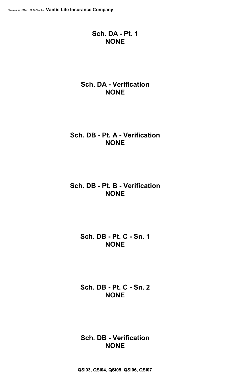## **Sch. DA - Pt. 1 NONE**

## **Sch. DA - Verification NONE**

## **Sch. DB - Pt. A - Verification NONE**

## **Sch. DB - Pt. B - Verification NONE**

## **Sch. DB - Pt. C - Sn. 1 NONE**

**Sch. DB - Pt. C - Sn. 2 NONE**

**Sch. DB - Verification NONE**

**QSI03, QSI04, QSI05, QSI06, QSI07**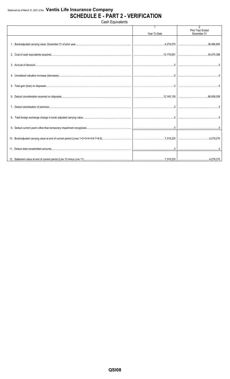## Statement as of March 31, 2021 of the Vantis Life Insurance Company **SCHEDULE E - PART 2 - VERIFICATION**

Cash Equivalents

| Year To Date | $\overline{2}$<br>Prior Year Ended<br>December 31 |
|--------------|---------------------------------------------------|
|              |                                                   |
|              |                                                   |
|              |                                                   |
|              |                                                   |
|              |                                                   |
|              |                                                   |
|              |                                                   |
|              |                                                   |
|              |                                                   |
|              |                                                   |
|              |                                                   |
|              |                                                   |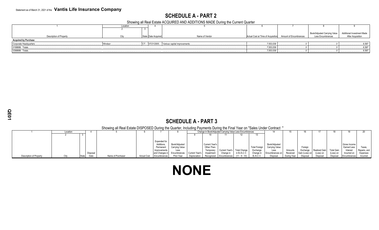## **SCHEDULE A - PART 2**

Showing all Real Estate ACQUIRED AND ADDITIONS MADE During the Current Quarter

|                             | Location |                     |                                           |                                                           |                                                          |                                                 |
|-----------------------------|----------|---------------------|-------------------------------------------|-----------------------------------------------------------|----------------------------------------------------------|-------------------------------------------------|
|                             |          |                     |                                           |                                                           |                                                          |                                                 |
| Description of Property     |          | State Date Acquired | Name of Vendor                            | Actual Cost at Time of Acquisition Amount of Encumbrances | Book/Adjusted Carrying Value<br><b>Less Encumbrances</b> | Additional Investment Made<br>After Acquisition |
| <b>Acquired by Purchase</b> |          |                     |                                           |                                                           |                                                          |                                                 |
| Corporate Headquarters      | Windsor. |                     | i 07/21/2005 Various capital improvements | 7,553,039                                                 |                                                          | 6,597                                           |
| 0199999. Totals             |          |                     |                                           | .7,553,039                                                |                                                          | 6,597                                           |
| 0399999. Totals             |          |                     |                                           | .7,553,039                                                |                                                          | .6,597                                          |
|                             |          |                     |                                           |                                                           |                                                          |                                                 |

## **SCHEDULE A - PART 3**

#### Showing all Real Estate DISPOSED During the Quarter, Including Payments During the Final Year on "Sales Under Contract "

|                         | Location |       |          |                   |                    |                |                | Change in Book/Adjusted Carrying Value Less Encumbrances |                |                         |                     |                      |                        |             |                |               |            |              |              |
|-------------------------|----------|-------|----------|-------------------|--------------------|----------------|----------------|----------------------------------------------------------|----------------|-------------------------|---------------------|----------------------|------------------------|-------------|----------------|---------------|------------|--------------|--------------|
|                         |          |       |          |                   |                    |                |                |                                                          |                |                         |                     |                      |                        |             |                |               |            |              |              |
|                         |          |       |          |                   |                    |                |                |                                                          |                |                         |                     |                      |                        |             |                |               |            |              |              |
|                         |          |       |          |                   |                    | Expended fo    |                |                                                          |                |                         |                     |                      |                        |             |                |               |            |              |              |
|                         |          |       |          |                   |                    | Additions      | Book/Adjusted  |                                                          | Current Year's |                         |                     |                      | Book/Adjusted          |             |                |               |            | Gross Income |              |
|                         |          |       |          |                   |                    | Permanen       | Carrying Value |                                                          | Other-Than-    |                         |                     | <b>Total Foreign</b> | <b>Carrying Value</b>  |             | Foreign        |               |            | Earned Less  | Taxes,       |
|                         |          |       |          |                   |                    | Improvemen     | Less           |                                                          | Temporary      | Current Year's          | <b>Total Change</b> | Exchange             | Less                   | Amounts     | Exchange       | Realized Gain | Total Cain | Interes.     | Repairs, and |
|                         |          |       | Disposal |                   |                    | and Changes in | Encumbrances   | Current Year's                                           | Impairment     | Change in               | in B./A.C.V         | Change               | <b>Encumbrances or</b> | Received    | Gain (Loss) on | (Loss) on     | Loss) on   | Incurred on  | Expenses     |
| Description of Property |          | State | Date     | Name of Purchaser | <b>Actual Cost</b> | Encumbrances   | Prior Year     | Depreciation                                             |                | Recognized Encumbrances | $11 - 9 - 10$       | B.A.C.V.             | Disposa                | During Year | Disposa        | Disposal      | Disposa    | Encumbrances | Incurred     |

## **NONE**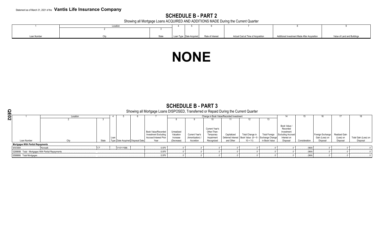## **SCHEDULE B - PART 2**

Showing all Mortgage Loans ACQUIRED AND ADDITIONS MADE During the Current Quarter

|             | Location |       |  |                         |                  |                                    |                                              |                             |
|-------------|----------|-------|--|-------------------------|------------------|------------------------------------|----------------------------------------------|-----------------------------|
|             |          |       |  |                         |                  |                                    |                                              |                             |
|             |          |       |  |                         |                  |                                    |                                              |                             |
| Loan Number |          | State |  | Loan Type Date Acquired | Rate of Interest | Actual Cost at Time of Acquisition | Additional Investment Made After Acquisition | Value of Land and Buildings |

## **NONE**

|                                          | <b>OUTLUULL D'FANIJ</b><br>Showing all Mortgage Loans DISPOSED, Transferred or Repaid During the Current Quarter |       |      |            |                                  |                                                                                             |                                                   |                                               |                                                                        |                          |                                                                                         |                                       |                                                                                               |               |                                                |                                        |                                  |
|------------------------------------------|------------------------------------------------------------------------------------------------------------------|-------|------|------------|----------------------------------|---------------------------------------------------------------------------------------------|---------------------------------------------------|-----------------------------------------------|------------------------------------------------------------------------|--------------------------|-----------------------------------------------------------------------------------------|---------------------------------------|-----------------------------------------------------------------------------------------------|---------------|------------------------------------------------|----------------------------------------|----------------------------------|
| Ш                                        | Location                                                                                                         |       |      |            |                                  |                                                                                             |                                                   |                                               | Change in Book Value/Recorded Investment                               |                          |                                                                                         |                                       | 14                                                                                            |               |                                                | 17                                     | 18                               |
| N                                        |                                                                                                                  |       |      |            |                                  |                                                                                             |                                                   |                                               |                                                                        |                          |                                                                                         | 13                                    |                                                                                               |               |                                                |                                        |                                  |
| Loan Number                              | City                                                                                                             | State | Loan |            | Type Date Acquired Disposal Date | Book Value/Recorded<br><b>Investment Excluding</b><br><b>Accrued Interest Prior</b><br>Year | Unrealized<br>Valuation<br>Increase<br>(Decrease) | Current Year's<br>(Amortization)<br>Accretion | Current Year's<br>Other-Than-<br>Temporary<br>Impairment<br>Recognized | Capitalized<br>and Other | Total Change in<br>Deferred Interest   Book Value (8 + 9 - Exchange Change<br>$10 + 11$ | <b>Total Foreign</b><br>in Book Value | Book Value /<br>Recorded<br>Investment<br><b>Excluding Accrued</b><br>Interest on<br>Disposal | Consideration | Foreign Exchange<br>Gain (Loss) on<br>Disposal | Realized Gain<br>(Loss) on<br>Disposal | Total Gain (Loss) on<br>Disposal |
| <b>Mortgages With Partial Repayments</b> |                                                                                                                  |       |      |            |                                  |                                                                                             |                                                   |                                               |                                                                        |                          |                                                                                         |                                       |                                                                                               |               |                                                |                                        |                                  |
| 4/8/3084.                                | Norwalk.                                                                                                         |       |      | 01/01/1996 |                                  | .5,976                                                                                      |                                                   |                                               |                                                                        |                          |                                                                                         |                                       |                                                                                               | (964)         |                                                |                                        |                                  |
|                                          | 0299999. Total - Mortgages With Partial Repayments                                                               |       |      |            |                                  | .5,976                                                                                      |                                                   |                                               |                                                                        |                          |                                                                                         |                                       |                                                                                               | (964)         |                                                |                                        |                                  |
| 0599999. Total Mortgages                 |                                                                                                                  |       |      |            |                                  | .5,976                                                                                      |                                                   |                                               |                                                                        |                          |                                                                                         |                                       |                                                                                               | (964)         |                                                |                                        |                                  |

## **SCHEDULE B - PART 3**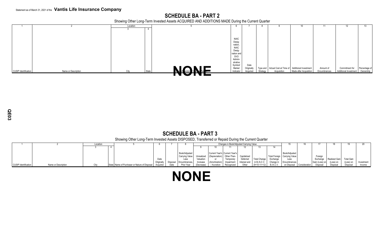## **SCHEDULE BA - PART 2**

Showing Other Long-Term Invested Assets ACQUIRED AND ADDITIONS MADE During the Current Quarter

|                             |                     | Location |       |                     |             |            |          |             | 10                                                    | 11           |                       | 13.           |
|-----------------------------|---------------------|----------|-------|---------------------|-------------|------------|----------|-------------|-------------------------------------------------------|--------------|-----------------------|---------------|
|                             |                     |          |       |                     |             |            |          |             |                                                       |              |                       |               |
|                             |                     |          |       |                     |             |            |          |             |                                                       |              |                       |               |
|                             |                     |          |       |                     |             |            |          |             |                                                       |              |                       |               |
|                             |                     |          |       |                     | <b>NAIC</b> |            |          |             |                                                       |              |                       |               |
|                             |                     |          |       |                     | Desig-      |            |          |             |                                                       |              |                       |               |
|                             |                     |          |       |                     | nation      |            |          |             |                                                       |              |                       |               |
|                             |                     |          |       |                     | <b>NAIC</b> |            |          |             |                                                       |              |                       |               |
|                             |                     |          |       |                     | Desig-      |            |          |             |                                                       |              |                       |               |
|                             |                     |          |       |                     | nation and  |            |          |             |                                                       |              |                       |               |
|                             |                     |          |       |                     | SVO         |            |          |             |                                                       |              |                       |               |
|                             |                     |          |       |                     | Admini-     |            |          |             |                                                       |              |                       |               |
|                             |                     |          |       |                     | strative    |            |          |             |                                                       |              |                       |               |
|                             |                     |          |       |                     | Symbol/     | Date       |          |             |                                                       |              |                       |               |
|                             |                     |          |       |                     | Market      | Originally |          |             | Type and Actual Cost at Time of Additional Investment | Amount of    | Commitment for        | Percentage of |
| <b>CUSIP Identification</b> | Name or Description | City     | State |                     | Indicator   | Acquired   | Strategy | Acquisition | Made after Acquisition                                | Encumbrances | Additional Investment | Ownership     |
|                             |                     |          |       | Not Coder of Notice |             |            |          |             |                                                       |              |                       |               |
|                             |                     |          |       |                     |             |            |          |             |                                                       |              |                       |               |

## **SCHEDULE BA - PART 3**

Showing Other Long-Term Invested Assets DISPOSED, Transferred or Repaid During the Current Quarter

|                      |                     | Location |                                                        |            |          |                |            |                                       | Changes in Book/Adjusted Carrying Value |              |                     |                  |                                |                           |                |                      |                   |            |
|----------------------|---------------------|----------|--------------------------------------------------------|------------|----------|----------------|------------|---------------------------------------|-----------------------------------------|--------------|---------------------|------------------|--------------------------------|---------------------------|----------------|----------------------|-------------------|------------|
|                      |                     |          |                                                        |            |          |                |            |                                       |                                         |              |                     |                  |                                |                           |                |                      |                   |            |
|                      |                     |          |                                                        |            |          |                |            |                                       |                                         |              |                     |                  |                                |                           |                |                      |                   |            |
|                      |                     |          |                                                        |            |          | Book/Adiusted  |            | Current Year's Current Year's         |                                         |              |                     |                  | Book/Adjusted                  |                           |                |                      |                   |            |
|                      |                     |          |                                                        |            |          | Carrying Value |            | Unrealized (Depreciation) Other-Than- |                                         | Capitalized  |                     |                  | Total Foreign   Carrying Value |                           | Foreign        |                      |                   |            |
|                      |                     |          |                                                        |            |          | Less           | Valuation  | or                                    | Temporary                               | Deferred     | <b>Total Change</b> | Exchange         | Less                           |                           | Exchange       | I Realized Gain Late | <b>Total Gain</b> |            |
|                      |                     |          |                                                        | Originally | Disposal | Encumbrances.  | Increase   | (Amortization)                        | Impairment                              | Interest and | in $B.A.C.V.$       | Change in        | Encumbrances                   |                           | Gain (Loss) on | (Loss) on            | (Loss) or         | Investment |
| CUSIP Identification | Name or Description |          | State Name of Purchaser or Nature of Disposal Acquired |            | Date     | Prior Year     | (Decrease) | / Accretion                           | Recognized                              | Other        | $(9+10-11+12)$      | <b>B./A.C.V.</b> |                                | on Disposal Consideration | Disposal       | <b>Disposa</b>       | Disposal          | Income     |

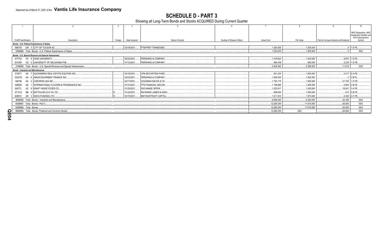SCHEDULE D - PART 3<br>Showing all Long-Term Bonds and Stocks ACQUIRED During Current Quarter

|                                               |                                                                        |               |                            |                           |                    |             |                                         | 10 <sup>1</sup>              |
|-----------------------------------------------|------------------------------------------------------------------------|---------------|----------------------------|---------------------------|--------------------|-------------|-----------------------------------------|------------------------------|
|                                               |                                                                        |               |                            |                           |                    |             |                                         |                              |
|                                               |                                                                        |               |                            |                           |                    |             |                                         | NAIC Designation, NAIC       |
|                                               |                                                                        |               |                            |                           |                    |             |                                         | Designation Modifier and     |
| <b>CUSIP Identification</b>                   | Description<br>Foreian                                                 | Date Acquired | Name of Vendor             | Number of Shares of Stock | <b>Actual Cost</b> | Par Value   | Paid for Accrued Interest and Dividends | SVO Administrative<br>Symbol |
| Bonds - U.S. Political Subdivisions of States |                                                                        |               |                            |                           |                    |             |                                         |                              |
|                                               | 898735 UW 3 CITY OF TUCSON AZ.                                         | 02/18/2021.   | <b>FTB/FIRST TENNESSEE</b> |                           | 1,200,000          | 1,200,000   |                                         | 1.E FE.                      |
|                                               |                                                                        |               |                            |                           |                    |             |                                         |                              |
|                                               | 2499999. Total - Bonds - U.S. Political Subdivisions of States.        |               |                            |                           | 1,200,000          | 1,200,000   |                                         | XXX                          |
|                                               | Bonds - U.S. Special Revenue and Special Assessment                    |               |                            |                           |                    |             |                                         |                              |
|                                               | 677704 F8 6 OHIO UNIVERSITY                                            | 02/22/2021.   | PERSHING & COMPANY.        |                           | 1,419,624          | 1,440,000   |                                         | 9,674 1.E FE.                |
| 91476P                                        | VG 0 UNIVERSITY OF OKLAHOMA/THE.                                       | 01/12/2021.   | PERSHING & COMPANY.        |                           | 984,438            | .950.000    |                                         | 2,239 1.D FE                 |
|                                               | 3199999. Total - Bonds - U.S. Special Revenue and Special Assessments. |               |                            |                           | .2,404,062         | .2,390,000  | .11,913                                 | <b>XXX</b>                   |
| <b>Bonds - Industrial and Miscellaneous</b>   |                                                                        |               |                            |                           |                    |             |                                         |                              |
| 015271                                        | AX 7 ALEXANDRIA REAL ESTATE EQUITIES INC.                              | 03/15/2021.   | JPM SECURITIES-FIXED.      |                           | .901.430           | .1,000,000  |                                         | 2,417 2.A FE                 |
| 03237N                                        | AA 6 AMUR EQUIPMENT FINANCE INC.                                       | 02/23/2021.   | PERSHING & COMPANY.        |                           | 1.000.000          | 1.000.000   |                                         | $.0$ 2.B PL                  |
| 166756                                        | AX 4 CHEVRON USA INC                                                   | 02/17/2021.   | GOLDMAN SACHS & CO.        |                           | 1.793.175          | .1.500.000  |                                         | 21.700 1.D FE.               |
| 459506<br>AE <sub>1</sub>                     | <b>INTERNATIONAL FLAVORS &amp; FRAGRANCES INC.</b>                     | 01/21/2021.   | FTN FINANCIAL SECURI.      |                           | 1.196.860          | .1,000,000  |                                         | 6,563 2.B FE.                |
| 50077L                                        | AZ 9 KRAFT HEINZ FOODS CO                                              | 01/20/2021.   | <b>EXCHANGE OFFER</b>      |                           | 1,253,917          | 1,250,000   |                                         | .18,451 3.A FE.              |
|                                               |                                                                        |               |                            |                           |                    |             |                                         |                              |
| 07131X                                        | BB 9 BATTALION CLO VII LTD                                             | 01/22/2021.   | RAYMOND JAMES & ASSO.      |                           | .999.000           | 1,000,000   |                                         | .613 2.B FE.                 |
| 62951C                                        | AR 3 NZCG FUNDING LTD                                                  | 03/15/2021.   | BNY/SUNTRUST CAPITAL.      |                           | .1.511.910         | 1,570,000   |                                         | 2,436 2.C FE                 |
|                                               | 3899999. Total - Bonds - Industrial and Miscellaneous.                 |               |                            |                           | .8,656,292         | .8,320,000  | .52.180                                 | <b>XXX</b>                   |
| 8399997. Total - Bonds - Part 3               |                                                                        |               |                            |                           | .12,260,354        | .11,910,000 | 64,093                                  | XXX                          |
| 8399999. Total - Bonds.                       |                                                                        |               |                            |                           | .12,260,354        | .11,910,000 | 64.093                                  | XXX                          |
|                                               | 9999999. Total - Bonds, Preferred and Common Stocks.                   |               |                            |                           | .12,260,354        | XXX         | 64,093                                  | XXX                          |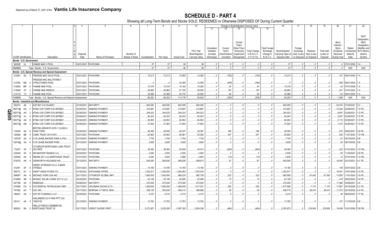SCHEDULE D - PART 4<br>Showing all Long-Term Bonds and Stocks SOLD, REDEEMED or Otherwise DISPOSED OF During Current Quarter

|           |                             |     | 2                                                             |             | - 5                                | -6              |               | -8         | -9                 | 10             |            |              | Change in Book/Adjusted Carrying Value |                     |                      | 16                | 17          | 18          | 19                | 20                 | 21                          | 22                         |
|-----------|-----------------------------|-----|---------------------------------------------------------------|-------------|------------------------------------|-----------------|---------------|------------|--------------------|----------------|------------|--------------|----------------------------------------|---------------------|----------------------|-------------------|-------------|-------------|-------------------|--------------------|-----------------------------|----------------------------|
|           |                             |     |                                                               |             |                                    |                 |               |            |                    |                | 11         |              | 13                                     |                     | 15                   |                   |             |             |                   |                    |                             |                            |
|           |                             |     |                                                               |             |                                    |                 |               |            |                    |                |            |              |                                        |                     |                      |                   |             |             |                   |                    |                             |                            |
|           |                             |     |                                                               |             |                                    |                 |               |            |                    |                |            |              |                                        |                     |                      |                   |             |             |                   |                    |                             | <b>NAIC</b>                |
|           |                             |     |                                                               |             |                                    |                 |               |            |                    |                |            |              |                                        |                     |                      |                   |             |             |                   |                    |                             | <b>Designation</b>         |
|           |                             |     |                                                               |             |                                    |                 |               |            |                    |                |            |              | Current<br>Year's                      |                     |                      |                   |             |             |                   | Bond<br>Interest / |                             | <b>NAIC</b><br>Designation |
|           |                             |     |                                                               |             |                                    |                 |               |            |                    |                | Unrealized | Current      | Other-Than-                            |                     | <b>Total Foreigr</b> |                   | Foreign     |             |                   | Stock              | Stated                      | Modifier and               |
|           |                             |     |                                                               |             |                                    |                 |               |            |                    | Prior Year     | Valuation  | Year's       | Temporary                              | <b>Total Change</b> | Exchange             | Book/Adjusted     | Exchange    | Realized    | <b>Total Gain</b> | Dividends          | Contractua                  | SVO Admini                 |
|           |                             |     |                                                               | Disposal    |                                    | Number of       |               |            |                    | Book/Adjusted  | Increase   | Amortization | Impairment                             | in B./A.C.V         | Change in            | Carrying Value at | Gain (Loss) | Gain (Loss) | (Loss) on         | Received           | Maturity                    | strative                   |
|           | <b>CUSIP Identification</b> |     | Description                                                   | Date        | Name of Purchaser                  | Shares of Stock | Consideration | Par Value  | <b>Actual Cost</b> | Carrying Value | (Decrease) | / Accretion  | Recognized                             | $(11+12-13)$        | <b>B./A.C.V.</b>     | Disposal Date     | on Disposal | on Disposal | Disposal          | During Year        | Date                        | Symbol                     |
|           | Bonds - U.S. Government     |     |                                                               |             |                                    |                 |               |            |                    |                |            |              |                                        |                     |                      |                   |             |             |                   |                    |                             |                            |
|           | 36202E UL                   |     | 1 GINNIE MAE II POOL                                          |             | 03/01/2021. PAYDOWN.               |                 | .37           | .37        | .36                | .36            |            | $\Omega$     |                                        |                     |                      | .37               |             | $\Omega$    | $\Omega$          |                    | $.0$ 07/01/2038. 1.A        |                            |
|           | 0599999.                    |     | Total - Bonds - U.S. Government.                              |             |                                    |                 | .37           | .37        | .36                | .36            |            | $\Omega$     |                                        |                     |                      | 37                |             |             |                   | $\Omega$ .         | XXX                         | <b>XXX</b>                 |
|           |                             |     | Bonds - U.S. Special Revenue and Special Assessment           |             |                                    |                 |               |            |                    |                |            |              |                                        |                     |                      |                   |             |             |                   |                    |                             |                            |
|           | 312941                      | SU  | FREDDIE MAC GOLD POOL<br>$\overline{2}$                       | 03/01/2021  | PAYDOWN                            |                 | 15,213        | 15,213     | 15,565             | 15,365         |            | (152)        |                                        | (152)               |                      | 15,213            |             |             | 0                 |                    | 107 08/01/2040. 1.A         |                            |
|           |                             |     | FREDDIE MAC MULTIFAMILY                                       |             |                                    |                 |               |            |                    |                |            |              |                                        |                     |                      |                   |             |             |                   |                    |                             |                            |
|           | 3137BL ME                   |     | <b>STRUCTURED PASS</b><br>-5                                  | 03/01/2021  | PAYDOWN                            |                 |               |            | .34,490            | .12,936        |            | (449)        |                                        | (449)               |                      |                   |             |             | .0                |                    | .849 08/01/2025.            |                            |
|           | 3138X0                      | MP  | <b>FANNIE MAE POOL</b><br>$\Omega$                            | 03/01/2021  | <b>PAYDOWN</b>                     |                 | .10,318       | .10,318    | .10,192            | .10,283        |            | .34          |                                        | 34                  |                      | .10,318           |             |             | $\cdot$ 0         | .43                | 07/01/2028.                 |                            |
|           | 31394D                      | 6T  | <b>FANNIE MAE REMICS</b><br>- 2                               | 03/01/2021  | PAYDOWN                            |                 | .28,683       | .28,683    | .27,155            | .28,530        |            | .153         |                                        | .153                |                      | .28,683           |             |             | 0                 | .241               | 07/01/2025.                 |                            |
|           | 31417G Y3                   |     | <b>FANNIE MAE POOL</b><br>$\overline{4}$                      | 03/01/2021  | PAYDOWN                            |                 | .25,988       | .25.988    | .25,776            | .25,928        |            | .59          |                                        | .59                 |                      | .25,988           |             |             |                   | .116               | 06/01/2028.                 |                            |
|           | 3199999.                    |     | Total - Bonds - U.S. Special Revenue and Special Assessments. |             |                                    |                 | .80,202       | .80,202    | .113,178           | .93,042        |            | (355)        |                                        | (355)               |                      | 80,202            |             |             |                   | .1,356             | XXX                         | <b>XXX</b>                 |
|           |                             |     | <b>Bonds - Industrial and Miscellaneous</b>                   |             |                                    |                 |               |            |                    |                |            |              |                                        |                     |                      |                   |             |             |                   |                    |                             |                            |
|           | 002474                      | A#  | AZZ INC 5.42 20JAN21                                          | 01/20/2021  | MATURITY.                          |                 | .940,000      | .940,000   | .940,000           | .940,000       |            | $\Omega$     |                                        |                     | - C                  | .940,000          | $\Omega$    |             | 0                 |                    | 25,474 01/20/2021. 2.C      |                            |
|           | 05577@                      | AG  | BTMU CAP CORP 6.55 26FEB21                                    | 02/26/202   | SINKING PAYMENT                    |                 | .315,887      | .315,887   | .315,887           | .315,887       |            |              |                                        |                     |                      | .315,887          |             |             | 0                 | .10,345            | 02/26/2021.                 | 1.D FE                     |
| Q<br>m    | 05577@                      |     | BTMU CAP CORP 6.55 26FEB21                                    | 02/26/202   | SINKING PAYMENT                    |                 | .304,023      | .304,023   | .304,023           | .304,023       |            |              |                                        |                     |                      | .304,023          |             |             | 0                 | .9,957             | 02/26/2021.                 | 1.D FE                     |
|           | $\bullet$ 05577@            | AJ  | BTMU CAP CORP 6.55 26FEB21<br>-9                              | 02/26/2021  | SINKING PAYMENT                    |                 | .92,243       | .92,243    | .92,243            | .92,243        |            |              |                                        |                     |                      | .92,243           |             |             | 0                 | .3,047             | 02/26/2021.                 | 1.D FE                     |
| <b>ຕາ</b> | 05577@                      | AK  | BTMU CAP CORP 6.55 26FEB21<br>- 6                             | 02/26/202   | SINKING PAYMENT                    |                 | .94,953       | .94,953    | .94,953            | .94,953        |            |              |                                        |                     |                      | .94,953           |             |             | 0                 | .3,110             | 02/26/2021                  | 1.D FE                     |
|           | 05577@                      | AM  | 2 BTMU CAP CORP 6.55 26FEB21                                  | 02/26/2021  | SINKING PAYMENT                    |                 | .37,604       | .37,604    | .37,604            | .37,604        |            |              |                                        |                     |                      | .37,604           |             |             | $\cdot$ 0         | 1,272              | 02/26/2021.                 | 1.D FE                     |
|           |                             |     | BRITISH AIRWAYS 2018-1 CLASS A                                |             |                                    |                 |               |            |                    |                |            |              |                                        |                     |                      |                   |             |             |                   |                    |                             |                            |
|           | 11043H                      | AA  | PASS THRO<br>- 6                                              | 03/20/2021  | <b>SINKING PAYMENT</b>             |                 | .26,555       | .26,555    | .26,337            | .26,367        |            | .188         |                                        | .188                |                      | .26,555           |             |             | .0                | .274               | 09/20/2031                  | 2.B FE.                    |
|           | 12648A                      | BB  | CSMC TRUST 2014-IVR1                                          | 03/01/2021  | PAYDOWN                            |                 | .93,802       | .93,802    | .92,681            | .93,255        |            | .547         |                                        | .547                |                      | .93,802           |             |             | . 0               | .535               | 11/01/2043.                 | 1.D FM.                    |
|           | 12672#                      | AA  | CVS LEASE BACKED PASS 4.4704.<br>-6                           | 03/10/2021  | SINKING PAYMENT                    |                 | .7,754        | .7,754     | .7,754             | .7,754         |            |              |                                        |                     |                      | .7,754            |             |             | .0                | 61                 | 09/10/2034                  |                            |
|           | 12674@ AA                   |     | CVS LEASE BACKED PASS<br>- 6                                  | 03/10/2021  | SINKING PAYMENT                    |                 | .3,628        | .3,628     | .3,628             | .3,628         |            |              |                                        |                     |                      | .3,628            |             |             | .0                | .24                | 08/10/2035. 2.B             |                            |
|           |                             |     | CITIGROUP MORTGAGE LOAN TRUST                                 |             |                                    |                 |               |            |                    |                |            |              |                                        |                     |                      |                   |             |             |                   |                    |                             |                            |
|           | 17323T AF                   |     | 2015-RP2                                                      | 03/01/2021  | AYDOWN.                            |                 | .39,393       | .39,393    | .40,548            | .40,013        |            | (620)        |                                        | (620)               |                      | .39,393           |             |             |                   | .223               | 01/01/2053.                 | 1.D FM.                    |
|           | 233046                      | AF  | DB MASTER FINANCE LLC.                                        | 02/20/202   | PAYDOWN.                           |                 | .2,500        | .2,500     | .2,500             | .2,500         |            |              |                                        |                     |                      | .2,500            |             |             | 0                 | .25                | 11/20/2047.                 | 2.B FE.                    |
|           | 23305X                      | AA  | DBUBS 2011-LC2 MORTGAGE TRUST                                 | 01/01/2021  | AYDOWN.                            |                 | .4,640        | .4,640     | .4,686             | .4,653         |            | (12)         |                                        | (12)                |                      | .4,640            |             |             |                   | . 14               | 07/01/2044.                 | 1.A FM.                    |
|           | 37247D AN                   |     | GENWORTH HOLDINGS INC.<br>- 6                                 | 02/15/2021  | <b>MATURITY</b>                    |                 | .500,000      | .500,000   | .498,295           | .499,913       |            | .87          |                                        | .87                 |                      | .500,000          |             |             | - 0               | 18,000             | 02/15/2021.                 | 4.C FE.                    |
|           |                             |     |                                                               |             |                                    |                 |               |            |                    |                |            |              |                                        |                     |                      |                   |             |             |                   |                    |                             |                            |
|           | 41245*                      | AF  | HARDY STORAGE CO LL 5.88454<br>01FEB23<br>6                   | 03/01/2021  | SINKING PAYMENT                    |                 | .14,160       | .14,160    | .14,160            | .14,160        |            |              |                                        |                     |                      | .14,160           |             |             |                   | .138               | 02/01/2023. 2.B.            |                            |
|           |                             |     |                                                               | 01/20/202   | <b>EXCHANGE OFFER</b>              |                 |               | 1,250,000  |                    |                |            |              |                                        |                     |                      |                   |             |             | 0<br>$\cdot$ 0    |                    |                             |                            |
|           | 50077L                      | AY  | KRAFT HEINZ FOODS CO.                                         |             |                                    |                 | 1,253,917     |            | 1,254,063          | 1,253,916      |            |              |                                        |                     |                      | 1,253,917         |             |             |                   | .18,451            | 10/01/2049. 3.A FE          |                            |
|           | 59408T                      | AA  | MICHAEL KORS USA INC.                                         | 02/17/202   | CITIGROUP GLOBAL MKT               |                 | 1,060,000     | 1,000,000  | .989,220           | .992,736       |            | .222         |                                        | .222                |                      | 992,958           |             | .67,042     | .67,042           | 13,500             | 11/01/2024.                 | 3.A FE.                    |
|           | 61946G                      | AB  | MOSAIC SOLAR LOANS 2017-2 LLC                                 | 03/20/202   | AYDOWN.                            |                 | .53,108       | .53,108    | .53,095            | .53,098        |            | .10          |                                        | .10                 |                      | .53,108           |             |             | .0                | 419                | 06/22/2043. 2.A FE.         |                            |
|           | 64716#                      | AA  | NEMEGAS<br>-5                                                 | 02/08/202   | <b>JATURITY.</b>                   |                 | .475,000      | .475,000   | 475,000            | .475,000       |            |              |                                        |                     |                      | .475,000          | - 0         |             | 0                 | .11,566            | 02/08/2021                  | 2.A                        |
|           | 674599                      | CH. | OCCIDENTAL PETROLEUM CORP                                     | 02/17/202   | GOLDMAN SACHS & CO.                |                 | 1,485,000     | 1,500,000  | 1,468,935          | 1,477,301      |            | .525         |                                        | .525                |                      | 1,477,826         |             | .7,174      | .7,174            | .17,567            | 04/15/2026. 3.C FE.         |                            |
|           | 747262                      | AU  | QVC INC.                                                      | 02/17/202   | <b><i>IORGAN J P SECS, NEW</i></b> |                 | .538,125      | .500,000   | 499,313            | .499,686       |            | 29           |                                        | .29                 |                      | .499,715          |             | .38,410     | .38,410           | .11,372            | 02/15/2025.                 | 3.A FE.                    |
|           | 784037 AA                   |     | SCF RC FUNDING II LLC.                                        | 03/25/2021  | PAYDOWN.                           |                 | .4,310        | .4,310     | .4,310             | .4,310         |            |              |                                        |                     |                      | .4,310            |             |             |                   | .30                | 06/25/2047. 1.F FE.         |                            |
|           |                             |     | WALGREEN CO 4 PNW PPT 5.54                                    |             |                                    |                 |               |            |                    |                |            |              |                                        |                     |                      |                   |             |             |                   |                    |                             |                            |
|           | 93141* AA 3                 |     | 15NOV35                                                       | 03/15/2021  | SINKING PAYMENT                    |                 | .13,763       | .13,763    | .13,763            | .13,763        |            |              |                                        |                     |                      | .13,763           |             |             |                   |                    | .127 11/15/2035. 2.B        |                            |
|           |                             |     | WELLS FARGO COMMERCIAL                                        |             |                                    |                 |               |            |                    |                |            |              |                                        |                     |                      |                   |             |             |                   |                    |                             |                            |
|           | 95000J BA 5                 |     | MORTGAGE TRUST 20                                             | 02/17/2021. | <b>CREDIT SUISSE FIRST</b>         |                 | .2,272,827    | .2,032,500 | .2,067,325         | .2,054,336     |            | (464)        |                                        | (464)               |                      | .2,053,872        | $\Omega$ .  | 218,955     | 218,955           |                    | .19,449 12/01/2059. 3.B FM. |                            |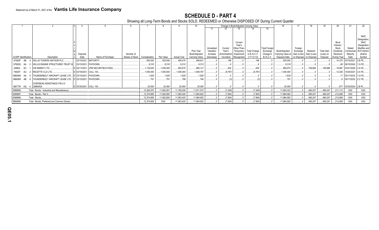## **SCHEDULE D - PART 4**

Showing all Long-Term Bonds and Stocks SOLD, REDEEMED or Otherwise DISPOSED OF During Current Quarter

|                             |                                                           |                         |                                     |                               |             |             |                    |                   |            |                |             | Change in Book/Adjusted Carrying Value |                      |                                               |             |             |                   | 20          |                             | 22           |
|-----------------------------|-----------------------------------------------------------|-------------------------|-------------------------------------|-------------------------------|-------------|-------------|--------------------|-------------------|------------|----------------|-------------|----------------------------------------|----------------------|-----------------------------------------------|-------------|-------------|-------------------|-------------|-----------------------------|--------------|
|                             |                                                           |                         |                                     |                               |             |             |                    |                   |            |                |             | 14                                     | 15                   |                                               |             |             |                   |             |                             |              |
|                             |                                                           |                         |                                     |                               |             |             |                    |                   |            |                |             |                                        |                      |                                               |             |             |                   |             |                             |              |
|                             |                                                           |                         |                                     |                               |             |             |                    |                   |            |                |             |                                        |                      |                                               |             |             |                   |             |                             | <b>NAIC</b>  |
|                             |                                                           |                         |                                     |                               |             |             |                    |                   |            |                |             |                                        |                      |                                               |             |             |                   |             |                             | Designation  |
|                             |                                                           |                         |                                     |                               |             |             |                    |                   |            |                | Current     |                                        |                      |                                               |             |             |                   | Bond        |                             | <b>NAIC</b>  |
|                             |                                                           |                         |                                     |                               |             |             |                    |                   |            |                | Year's      |                                        |                      |                                               |             |             |                   | Interest    |                             | Designation  |
|                             |                                                           |                         |                                     |                               |             |             |                    |                   | Unrealized | Curren         | Other-Than- |                                        | <b>Total Foreign</b> |                                               | Foreign     |             |                   | Stock       | State                       | Modifier and |
|                             |                                                           |                         |                                     |                               |             |             |                    | <b>Prior Year</b> | Valuation  | Year's         | Temporary   | <b>Total Change</b>                    | Exchange             | Book/Adjusted                                 | Exchange    | Realized    | <b>Total Gain</b> | Dividends   | Contractua                  | SVO Admini   |
|                             |                                                           | Disposal                |                                     | Number of                     |             |             |                    | Book/Adjusted     | Increase   | (Amortization) | Impairmen   | in B./A.C.V.                           | Change in            | Carrying Value at   Gain (Loss)   Gain (Loss) |             |             | (Loss) on         | Received    | Maturity                    | strative     |
| <b>CUSIP</b> Identification | Description                                               | Date                    | Name of Purchaser                   | Shares of Stock Consideration |             | Par Value   | <b>Actual Cost</b> | Carrying Value    | (Decrease) | / Accretion    | Recognized  | $(11+12-13)$                           | <b>B./A.C.V.</b>     | Disposal Date                                 | on Disposal | on Disposal | Disposal          | During Year | Date                        | Symbol       |
| 97063P AB 0                 | <b>WILLIS TOWERS WATSON PLC.</b>                          | 03/15/2021.             | MATURITY.                           |                               | .500,000    | .500,000    | .495,475           | .499.831          |            | 169            |             | 169                                    |                      | .500,000                                      |             |             |                   |             | 14,375 03/15/2021.          | 2.B FE       |
|                             |                                                           |                         |                                     |                               |             |             |                    |                   |            |                |             |                                        |                      |                                               |             |             |                   |             |                             |              |
| 97063Q                      | <b>WILLIS ENGINE STRUCTURED TRUST III</b>                 |                         | 03/15/2021. PAYDOWN.                |                               | .9,318      | 9,318       | .9.310             | 9,313             |            |                |             |                                        |                      | 9,318                                         |             |             |                   |             | .69   08/15/2042.   1.G FE  |              |
| 44962L AC                   | <b>IHS MARKIT LTD.</b>                                    |                         | D 02/17/2021. JPM SECURITIES-FIXED. |                               | 1,124,640   | .1,000,000  | .952,670           | .965,141          |            | 834            |             | 834                                    |                      | .965.974                                      |             | 158,666     | 158,666           |             | 18,667   03/01/2026. 3.A FE |              |
| 75620T<br>AU                | 2 RECETTE CLO LTD.                                        | D 03/18/2021. CALL 100  |                                     |                               | 1,000,000   | .1,000,000  | 1,005,000          | 1,008,767         |            | (8,767)        |             | (8.767)                                |                      | 1,000,000                                     |             |             |                   | .12.326     | 10/20/2027. 2.A FE          |              |
| 88606W AA                   | THUNDERBOLT AIRCRAFT LEASE LTD D 03/15/2021. PAYDOWN.     |                         |                                     |                               | 1.629       | .1.629      | .1.629             | .1.629            |            |                |             |                                        |                      | 1.629                                         |             |             |                   |             | 05/17/2032. 1.G FE          |              |
| 88606W AB                   | THUNDERBOLT AIRCRAFT LEASE LTD   D   03/15/2021. PAYDOWN. |                         |                                     |                               | 791         | 791         | 799                | 704               |            |                |             |                                        |                      | 791                                           |             |             |                   |             | 8 05/17/2032. 2.C FE        |              |
|                             |                                                           |                         |                                     |                               |             |             |                    |                   |            |                |             |                                        |                      |                                               |             |             |                   |             |                             |              |
|                             | OVERSEAS ASSISTANCE FIN 5.0                               |                         |                                     |                               |             |             |                    |                   |            |                |             |                                        |                      |                                               |             |             |                   |             |                             |              |
| N6777# AG 4                 | 30MAR24                                                   | D 03/30/2021. CALL 100. |                                     |                               | .25.000     | .25,000     | 25,000             | .25,000           |            |                |             |                                        |                      | 25.000                                        |             |             |                   |             | 677 03/30/2024.             | 2.B PL.      |
| 3899999.                    | Total - Bonds - Industrial and Miscellaneous.             |                         |                                     |                               | .12,294,570 | .11,842,561 | 11,790,206         | 11,811,574        |            | (7, 249)       |             | (7, 249)                               |                      | 11,804,323                                    |             | 490,247     | 490,247           | 211,113     | XXX                         | XXX          |
| 8399997.                    | Total - Bonds - Part 4.                                   |                         |                                     |                               | .12,374,809 | 11,922,800  | 11,903,420         | 11,904,652        |            | (7,604)        |             | (7,604)                                |                      | 11,884,562                                    |             | 490,247     | .490,247          | 212,469     | <b>XXX</b>                  | XXX          |
| 8399999.                    | Total - Bonds.                                            |                         |                                     |                               | .12,374,809 | 11,922,800  | 11,903,420         | 11,904,652        |            | (7,604)        |             | (7,604)                                |                      | 11,884,562                                    |             | 490,247     | .490,247          | 212,469     | XXX                         | XXX          |
| 9999999.                    | Total - Bonds. Preferred and Common Stocks.               |                         |                                     |                               | 12,374,809  | <b>XXX</b>  | 11,903,420         | 11,904,652        |            | (7,604)        |             | (7,604)                                |                      | 31,884,562                                    |             | 490,247     | 490,247           | 212,469     | <b>XXX</b>                  | XXX          |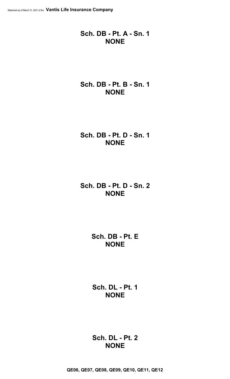## **Sch. DB - Pt. A - Sn. 1 NONE**

## **Sch. DB - Pt. B - Sn. 1 NONE**

## **Sch. DB - Pt. D - Sn. 1 NONE**

**Sch. DB - Pt. D - Sn. 2 NONE**

> **Sch. DB - Pt. E NONE**

**Sch. DL - Pt. 1 NONE**

**Sch. DL - Pt. 2 NONE**

**QE06, QE07, QE08, QE09, QE10, QE11, QE12**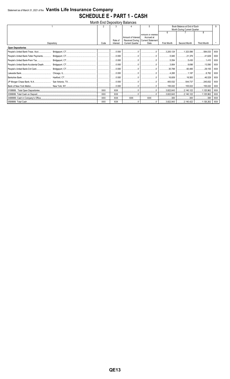## Statement as of March 31, 2021 of the Vantis Life Insurance Company **SCHEDULE E - PART 1 - CASH**

|                          |            |            |            | Month End Depository Balances                                                                                                                                                                                                                                                                                                                                       |                                     |                    |                                       |                    |            |
|--------------------------|------------|------------|------------|---------------------------------------------------------------------------------------------------------------------------------------------------------------------------------------------------------------------------------------------------------------------------------------------------------------------------------------------------------------------|-------------------------------------|--------------------|---------------------------------------|--------------------|------------|
|                          |            |            | 3          |                                                                                                                                                                                                                                                                                                                                                                     | 5                                   |                    | Book Balance at End of Each           |                    | q          |
|                          |            |            |            |                                                                                                                                                                                                                                                                                                                                                                     |                                     |                    | Month During Current Quarter          |                    |            |
|                          |            |            |            |                                                                                                                                                                                                                                                                                                                                                                     | Amount or interest                  | 6                  |                                       | 8                  |            |
|                          |            |            |            | Amount of Interest                                                                                                                                                                                                                                                                                                                                                  | Accrued at                          |                    |                                       |                    |            |
|                          |            |            | Rate of    |                                                                                                                                                                                                                                                                                                                                                                     | Received During   Current Statement |                    |                                       |                    |            |
|                          | Depository | Code       | Interest   | <b>Current Quarter</b>                                                                                                                                                                                                                                                                                                                                              | Date                                | <b>First Month</b> | Second Month                          | <b>Third Month</b> |            |
| <b>Open Depositories</b> |            |            |            |                                                                                                                                                                                                                                                                                                                                                                     |                                     |                    |                                       |                    |            |
|                          |            |            |            |                                                                                                                                                                                                                                                                                                                                                                     |                                     | 3,200,124          | 1,323,596                             | 584,033            | <b>XXX</b> |
|                          |            |            |            |                                                                                                                                                                                                                                                                                                                                                                     | 0                                   | 5,945              | $\ldots$ 21,376                       | 41,629             | XXX        |
|                          |            |            |            |                                                                                                                                                                                                                                                                                                                                                                     | 0                                   | 5,554              | 5,430                                 | 1.410              | <b>XXX</b> |
|                          |            |            |            |                                                                                                                                                                                                                                                                                                                                                                     | 0                                   | $\ldots$ 3,804     | 3,696                                 | 13,590             | <b>XXX</b> |
|                          |            |            |            | 0                                                                                                                                                                                                                                                                                                                                                                   | 0                                   | 30,788             | 60,495                                | 29,155             | XXX        |
|                          |            |            |            | 0                                                                                                                                                                                                                                                                                                                                                                   |                                     |                    |                                       |                    | XXX        |
|                          |            |            |            | $\begin{picture}(20,20) \put(0,0){\vector(1,0){100}} \put(15,0){\vector(1,0){100}} \put(15,0){\vector(1,0){100}} \put(15,0){\vector(1,0){100}} \put(15,0){\vector(1,0){100}} \put(15,0){\vector(1,0){100}} \put(15,0){\vector(1,0){100}} \put(15,0){\vector(1,0){100}} \put(15,0){\vector(1,0){100}} \put(15,0){\vector(1,0){100}} \put(15,0){\vector(1,0){100}} \$ | 0                                   | 16,609             | 18,583 46,529                         |                    | XXX        |
|                          |            |            |            |                                                                                                                                                                                                                                                                                                                                                                     |                                     | $\ldots$ 400,532   | 544,737                               | 245,832            | <b>XXX</b> |
|                          |            |            |            |                                                                                                                                                                                                                                                                                                                                                                     |                                     |                    | 155,022                               | $\ldots$ 155,022   | <b>XXX</b> |
|                          |            | <b>XXX</b> | <b>XXX</b> |                                                                                                                                                                                                                                                                                                                                                                     |                                     | $\ldots$ 3,822,643 | $\ldots$ 2,140,122 $\ldots$ 1,125,962 |                    | <b>XXX</b> |
|                          |            | <b>XXX</b> | <b>XXX</b> |                                                                                                                                                                                                                                                                                                                                                                     |                                     | 3,822,643          | $\ldots$ 2,140,122                    | 1,125,962          | <b>XXX</b> |
|                          |            | <b>XXX</b> | <b>XXX</b> | <b>XXX</b>                                                                                                                                                                                                                                                                                                                                                          | <b>XXX</b>                          | 300                | 300                                   | 300                | XXX        |
|                          |            | <b>XXX</b> | XXX        |                                                                                                                                                                                                                                                                                                                                                                     | 0                                   |                    |                                       |                    | XXX        |